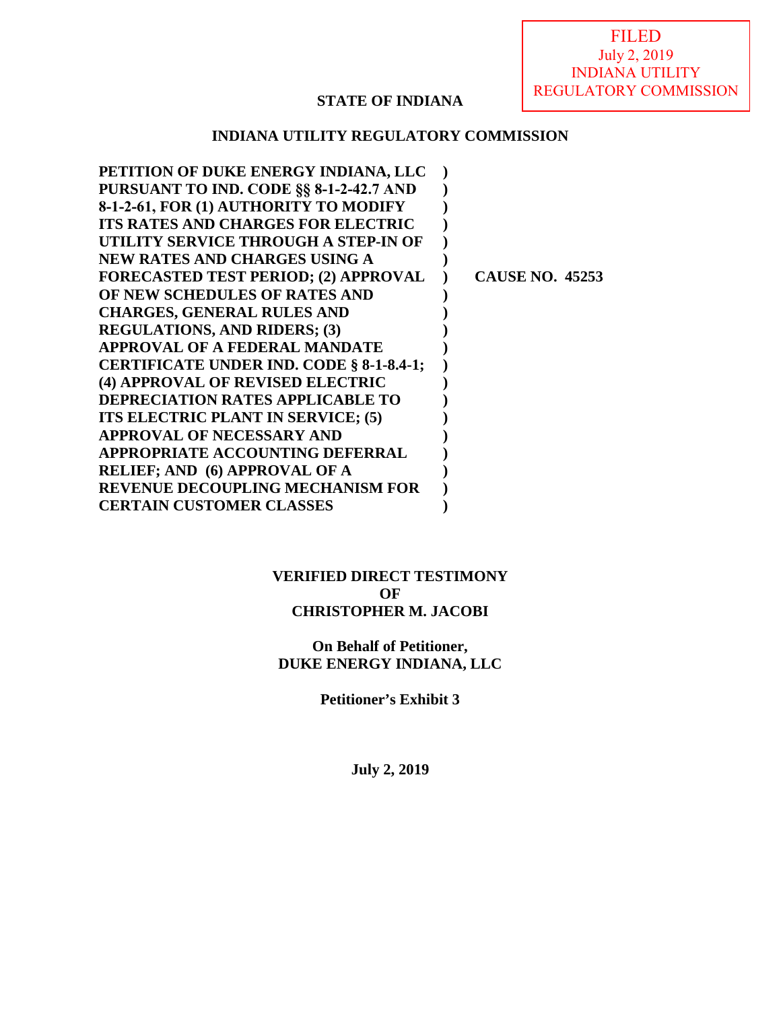FILED July 2, 2019 INDIANA UTILITY REGULATORY COMMISSION

## **STATE OF INDIANA**

### **INDIANA UTILITY REGULATORY COMMISSION**

| PETITION OF DUKE ENERGY INDIANA, LLC        |                        |
|---------------------------------------------|------------------------|
| PURSUANT TO IND. CODE §§ 8-1-2-42.7 AND     |                        |
| 8-1-2-61, FOR (1) AUTHORITY TO MODIFY       |                        |
| <b>ITS RATES AND CHARGES FOR ELECTRIC</b>   |                        |
| UTILITY SERVICE THROUGH A STEP-IN OF        |                        |
| <b>NEW RATES AND CHARGES USING A</b>        |                        |
| <b>FORECASTED TEST PERIOD; (2) APPROVAL</b> | <b>CAUSE NO. 45253</b> |
| OF NEW SCHEDULES OF RATES AND               |                        |
| <b>CHARGES, GENERAL RULES AND</b>           |                        |
| <b>REGULATIONS, AND RIDERS; (3)</b>         |                        |
| <b>APPROVAL OF A FEDERAL MANDATE</b>        |                        |
| CERTIFICATE UNDER IND. CODE § 8-1-8.4-1;    |                        |
| (4) APPROVAL OF REVISED ELECTRIC            |                        |
| <b>DEPRECIATION RATES APPLICABLE TO</b>     |                        |
| ITS ELECTRIC PLANT IN SERVICE; (5)          |                        |
| APPROVAL OF NECESSARY AND                   |                        |
| APPROPRIATE ACCOUNTING DEFERRAL             |                        |
| <b>RELIEF; AND (6) APPROVAL OF A</b>        |                        |
| <b>REVENUE DECOUPLING MECHANISM FOR</b>     |                        |
| <b>CERTAIN CUSTOMER CLASSES</b>             |                        |

### **VERIFIED DIRECT TESTIMONY OF CHRISTOPHER M. JACOBI**

**On Behalf of Petitioner, DUKE ENERGY INDIANA, LLC**

**Petitioner's Exhibit 3** 

**July 2, 2019**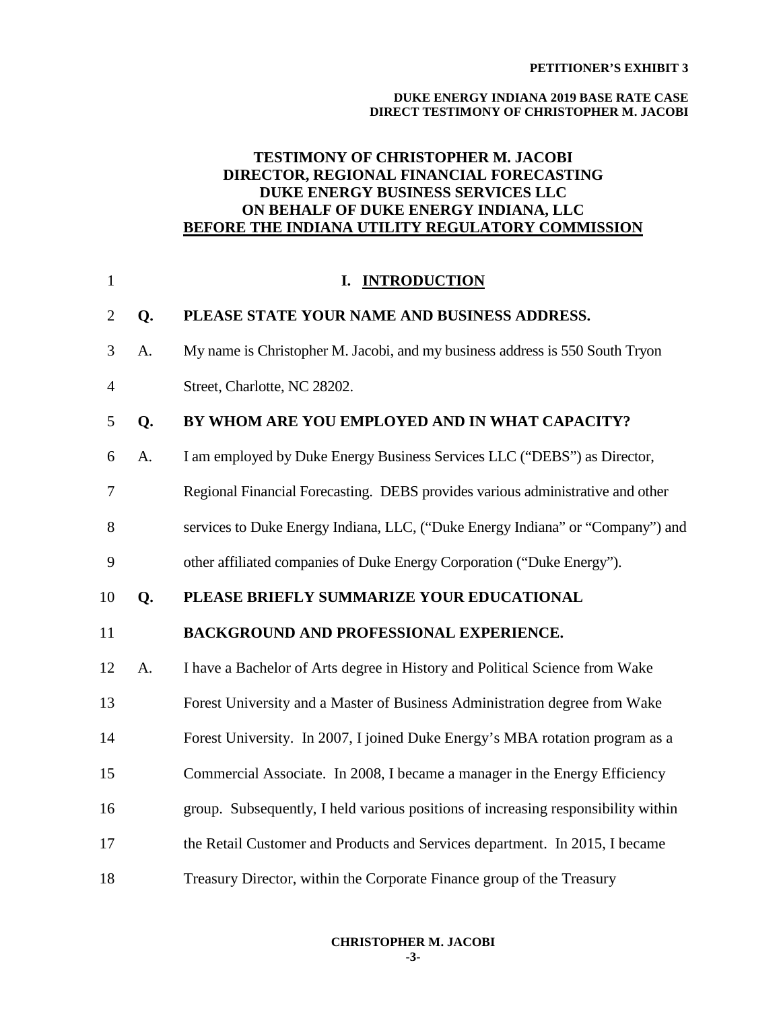#### **DUKE ENERGY INDIANA 2019 BASE RATE CASE DIRECT TESTIMONY OF CHRISTOPHER M. JACOBI**

## **TESTIMONY OF CHRISTOPHER M. JACOBI DIRECTOR, REGIONAL FINANCIAL FORECASTING DUKE ENERGY BUSINESS SERVICES LLC ON BEHALF OF DUKE ENERGY INDIANA, LLC BEFORE THE INDIANA UTILITY REGULATORY COMMISSION**

| $\mathbf{1}$   |    | I. INTRODUCTION                                                                   |
|----------------|----|-----------------------------------------------------------------------------------|
| $\overline{2}$ | Q. | PLEASE STATE YOUR NAME AND BUSINESS ADDRESS.                                      |
| 3              | A. | My name is Christopher M. Jacobi, and my business address is 550 South Tryon      |
| 4              |    | Street, Charlotte, NC 28202.                                                      |
| 5              | Q. | BY WHOM ARE YOU EMPLOYED AND IN WHAT CAPACITY?                                    |
| 6              | A. | I am employed by Duke Energy Business Services LLC ("DEBS") as Director,          |
| 7              |    | Regional Financial Forecasting. DEBS provides various administrative and other    |
| 8              |    | services to Duke Energy Indiana, LLC, ("Duke Energy Indiana" or "Company") and    |
| 9              |    | other affiliated companies of Duke Energy Corporation ("Duke Energy").            |
| 10             | Q. | PLEASE BRIEFLY SUMMARIZE YOUR EDUCATIONAL                                         |
| 11             |    | BACKGROUND AND PROFESSIONAL EXPERIENCE.                                           |
| 12             | A. | I have a Bachelor of Arts degree in History and Political Science from Wake       |
| 13             |    | Forest University and a Master of Business Administration degree from Wake        |
| 14             |    | Forest University. In 2007, I joined Duke Energy's MBA rotation program as a      |
| 15             |    | Commercial Associate. In 2008, I became a manager in the Energy Efficiency        |
| 16             |    | group. Subsequently, I held various positions of increasing responsibility within |
| 17             |    | the Retail Customer and Products and Services department. In 2015, I became       |
| 18             |    | Treasury Director, within the Corporate Finance group of the Treasury             |

**-3-**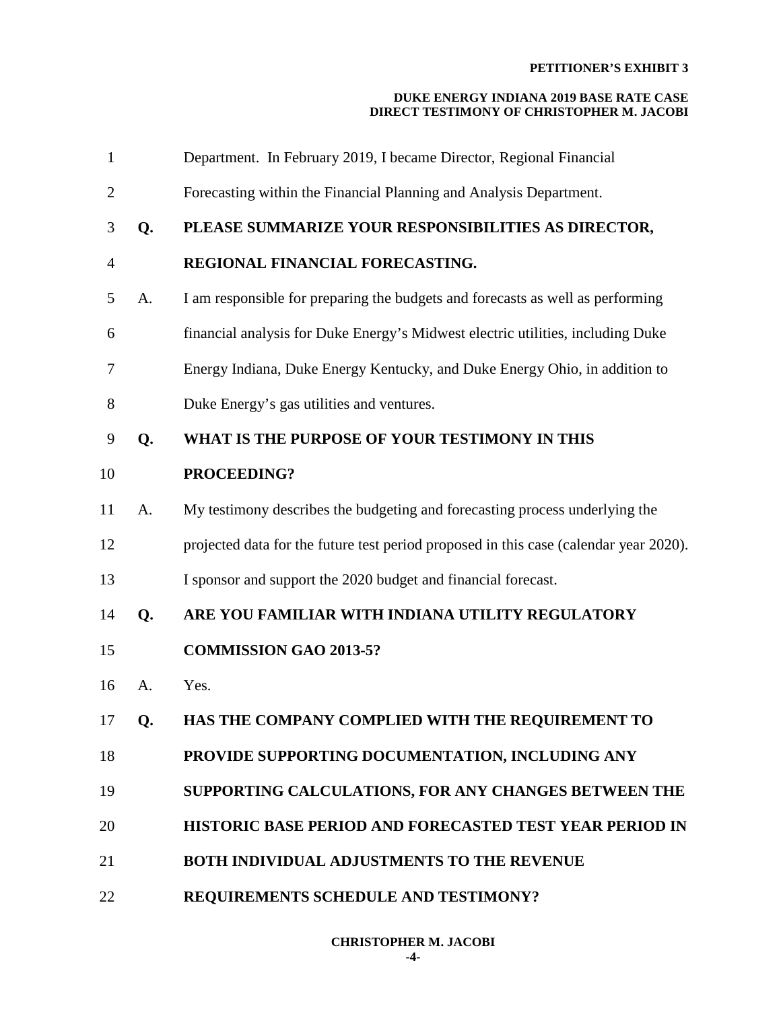| $\mathbf{1}$   |    | Department. In February 2019, I became Director, Regional Financial                   |
|----------------|----|---------------------------------------------------------------------------------------|
| 2              |    | Forecasting within the Financial Planning and Analysis Department.                    |
| 3              | Q. | PLEASE SUMMARIZE YOUR RESPONSIBILITIES AS DIRECTOR,                                   |
| $\overline{4}$ |    | REGIONAL FINANCIAL FORECASTING.                                                       |
| 5              | A. | I am responsible for preparing the budgets and forecasts as well as performing        |
| 6              |    | financial analysis for Duke Energy's Midwest electric utilities, including Duke       |
| 7              |    | Energy Indiana, Duke Energy Kentucky, and Duke Energy Ohio, in addition to            |
| 8              |    | Duke Energy's gas utilities and ventures.                                             |
| 9              | Q. | WHAT IS THE PURPOSE OF YOUR TESTIMONY IN THIS                                         |
| 10             |    | PROCEEDING?                                                                           |
| 11             | A. | My testimony describes the budgeting and forecasting process underlying the           |
| 12             |    | projected data for the future test period proposed in this case (calendar year 2020). |
| 13             |    | I sponsor and support the 2020 budget and financial forecast.                         |
| 14             | Q. | ARE YOU FAMILIAR WITH INDIANA UTILITY REGULATORY                                      |
| 15             |    | <b>COMMISSION GAO 2013-5?</b>                                                         |
| 16             | A. | Yes.                                                                                  |
| 17             | Q. | HAS THE COMPANY COMPLIED WITH THE REQUIREMENT TO                                      |
| 18             |    | PROVIDE SUPPORTING DOCUMENTATION, INCLUDING ANY                                       |
| 19             |    | SUPPORTING CALCULATIONS, FOR ANY CHANGES BETWEEN THE                                  |
| 20             |    | <b>HISTORIC BASE PERIOD AND FORECASTED TEST YEAR PERIOD IN</b>                        |
| 21             |    | <b>BOTH INDIVIDUAL ADJUSTMENTS TO THE REVENUE</b>                                     |
| 22             |    | REQUIREMENTS SCHEDULE AND TESTIMONY?                                                  |
|                |    |                                                                                       |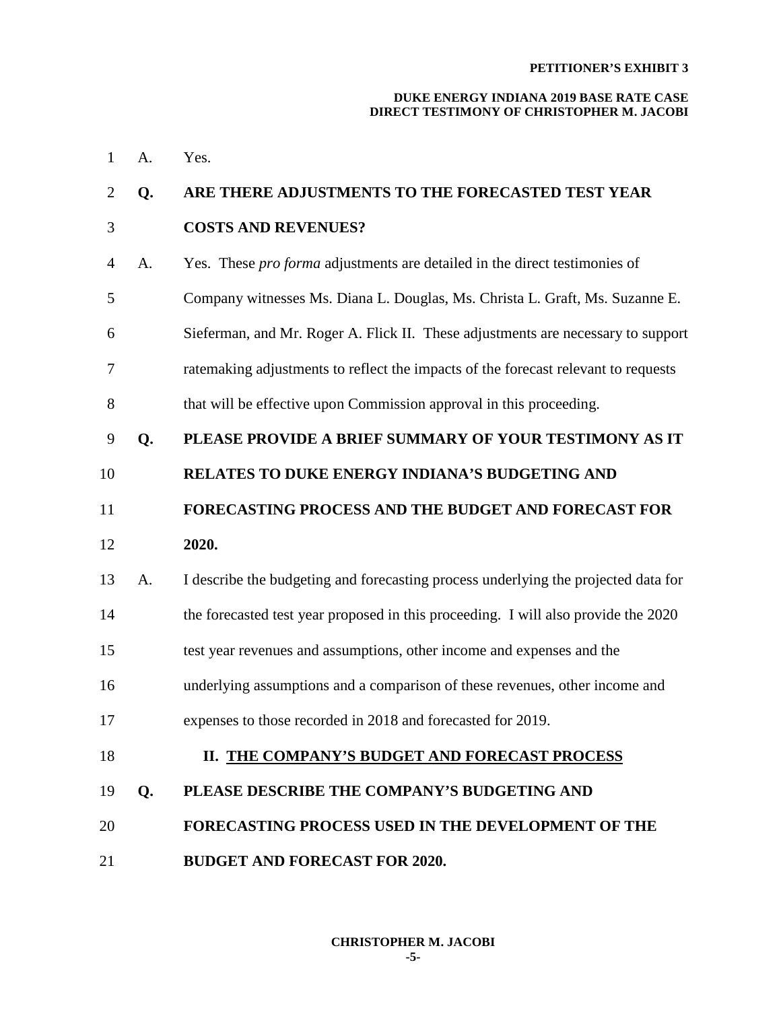| 1  | A. | Yes.                                                                               |
|----|----|------------------------------------------------------------------------------------|
| 2  | Q. | ARE THERE ADJUSTMENTS TO THE FORECASTED TEST YEAR                                  |
| 3  |    | <b>COSTS AND REVENUES?</b>                                                         |
| 4  | A. | Yes. These <i>pro forma</i> adjustments are detailed in the direct testimonies of  |
| 5  |    | Company witnesses Ms. Diana L. Douglas, Ms. Christa L. Graft, Ms. Suzanne E.       |
| 6  |    | Sieferman, and Mr. Roger A. Flick II. These adjustments are necessary to support   |
| 7  |    | ratemaking adjustments to reflect the impacts of the forecast relevant to requests |
| 8  |    | that will be effective upon Commission approval in this proceeding.                |
| 9  | Q. | PLEASE PROVIDE A BRIEF SUMMARY OF YOUR TESTIMONY AS IT                             |
| 10 |    | <b>RELATES TO DUKE ENERGY INDIANA'S BUDGETING AND</b>                              |
| 11 |    | FORECASTING PROCESS AND THE BUDGET AND FORECAST FOR                                |
| 12 |    | 2020.                                                                              |
| 13 | A. | I describe the budgeting and forecasting process underlying the projected data for |
| 14 |    | the forecasted test year proposed in this proceeding. I will also provide the 2020 |
| 15 |    | test year revenues and assumptions, other income and expenses and the              |
| 16 |    | underlying assumptions and a comparison of these revenues, other income and        |
| 17 |    | expenses to those recorded in 2018 and forecasted for 2019.                        |
| 18 |    | II. THE COMPANY'S BUDGET AND FORECAST PROCESS                                      |
| 19 | Q. | PLEASE DESCRIBE THE COMPANY'S BUDGETING AND                                        |
| 20 |    | <b>FORECASTING PROCESS USED IN THE DEVELOPMENT OF THE</b>                          |
| 21 |    | <b>BUDGET AND FORECAST FOR 2020.</b>                                               |
|    |    |                                                                                    |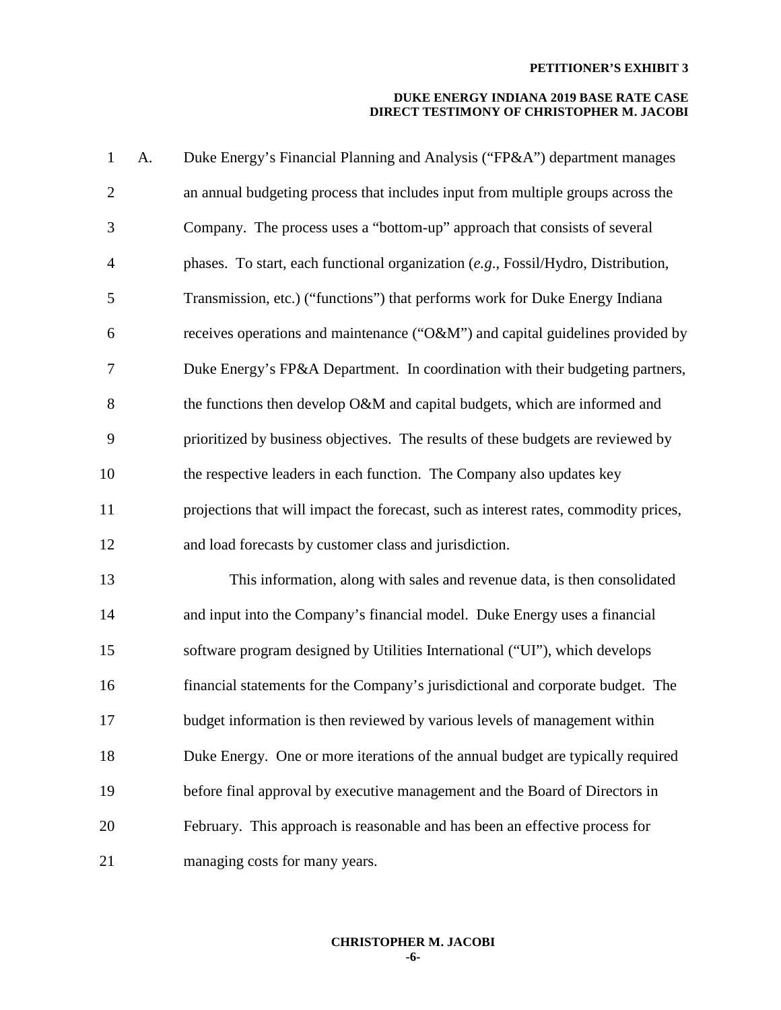| $\mathbf{1}$   | A. | Duke Energy's Financial Planning and Analysis ("FP&A") department manages            |
|----------------|----|--------------------------------------------------------------------------------------|
| $\overline{2}$ |    | an annual budgeting process that includes input from multiple groups across the      |
| 3              |    | Company. The process uses a "bottom-up" approach that consists of several            |
| $\overline{4}$ |    | phases. To start, each functional organization (e.g., Fossil/Hydro, Distribution,    |
| 5              |    | Transmission, etc.) ("functions") that performs work for Duke Energy Indiana         |
| 6              |    | receives operations and maintenance ("O&M") and capital guidelines provided by       |
| 7              |    | Duke Energy's FP&A Department. In coordination with their budgeting partners,        |
| 8              |    | the functions then develop O&M and capital budgets, which are informed and           |
| 9              |    | prioritized by business objectives. The results of these budgets are reviewed by     |
| 10             |    | the respective leaders in each function. The Company also updates key                |
| 11             |    | projections that will impact the forecast, such as interest rates, commodity prices, |
| 12             |    | and load forecasts by customer class and jurisdiction.                               |
| 13             |    | This information, along with sales and revenue data, is then consolidated            |
| 14             |    | and input into the Company's financial model. Duke Energy uses a financial           |
| 15             |    | software program designed by Utilities International ("UI"), which develops          |
| 16             |    | financial statements for the Company's jurisdictional and corporate budget. The      |
| 17             |    | budget information is then reviewed by various levels of management within           |
| 18             |    | Duke Energy. One or more iterations of the annual budget are typically required      |
| 19             |    | before final approval by executive management and the Board of Directors in          |
| 20             |    | February. This approach is reasonable and has been an effective process for          |
| 21             |    | managing costs for many years.                                                       |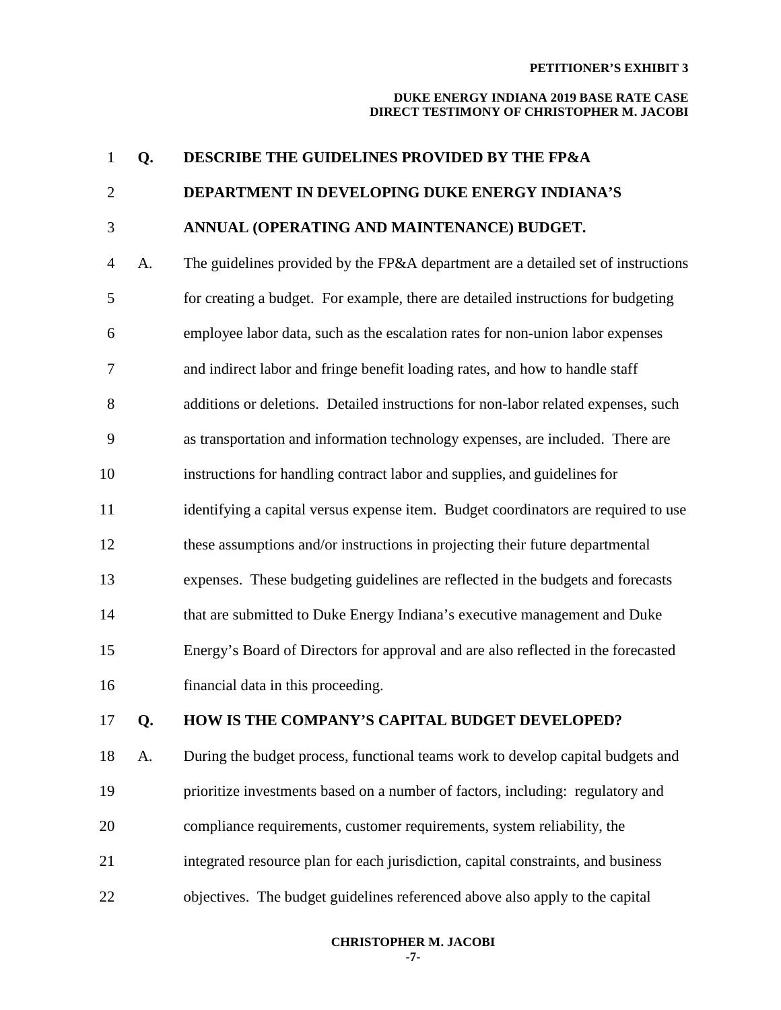### **DUKE ENERGY INDIANA 2019 BASE RATE CASE DIRECT TESTIMONY OF CHRISTOPHER M. JACOBI**

| $\mathbf{1}$   | Q. | DESCRIBE THE GUIDELINES PROVIDED BY THE FP&A                                       |
|----------------|----|------------------------------------------------------------------------------------|
| $\overline{2}$ |    | DEPARTMENT IN DEVELOPING DUKE ENERGY INDIANA'S                                     |
| 3              |    | ANNUAL (OPERATING AND MAINTENANCE) BUDGET.                                         |
| $\overline{4}$ | A. | The guidelines provided by the FP&A department are a detailed set of instructions  |
| 5              |    | for creating a budget. For example, there are detailed instructions for budgeting  |
| 6              |    | employee labor data, such as the escalation rates for non-union labor expenses     |
| 7              |    | and indirect labor and fringe benefit loading rates, and how to handle staff       |
| 8              |    | additions or deletions. Detailed instructions for non-labor related expenses, such |
| 9              |    | as transportation and information technology expenses, are included. There are     |
| 10             |    | instructions for handling contract labor and supplies, and guidelines for          |
| 11             |    | identifying a capital versus expense item. Budget coordinators are required to use |
| 12             |    | these assumptions and/or instructions in projecting their future departmental      |
| 13             |    | expenses. These budgeting guidelines are reflected in the budgets and forecasts    |
| 14             |    | that are submitted to Duke Energy Indiana's executive management and Duke          |
| 15             |    | Energy's Board of Directors for approval and are also reflected in the forecasted  |
| 16             |    | financial data in this proceeding.                                                 |
| 17             | Q. | HOW IS THE COMPANY'S CAPITAL BUDGET DEVELOPED?                                     |
| 18             | A. | During the budget process, functional teams work to develop capital budgets and    |
| 19             |    | prioritize investments based on a number of factors, including: regulatory and     |

- 20 compliance requirements, customer requirements, system reliability, the
- 21 integrated resource plan for each jurisdiction, capital constraints, and business
- 22 objectives. The budget guidelines referenced above also apply to the capital

## **CHRISTOPHER M. JACOBI**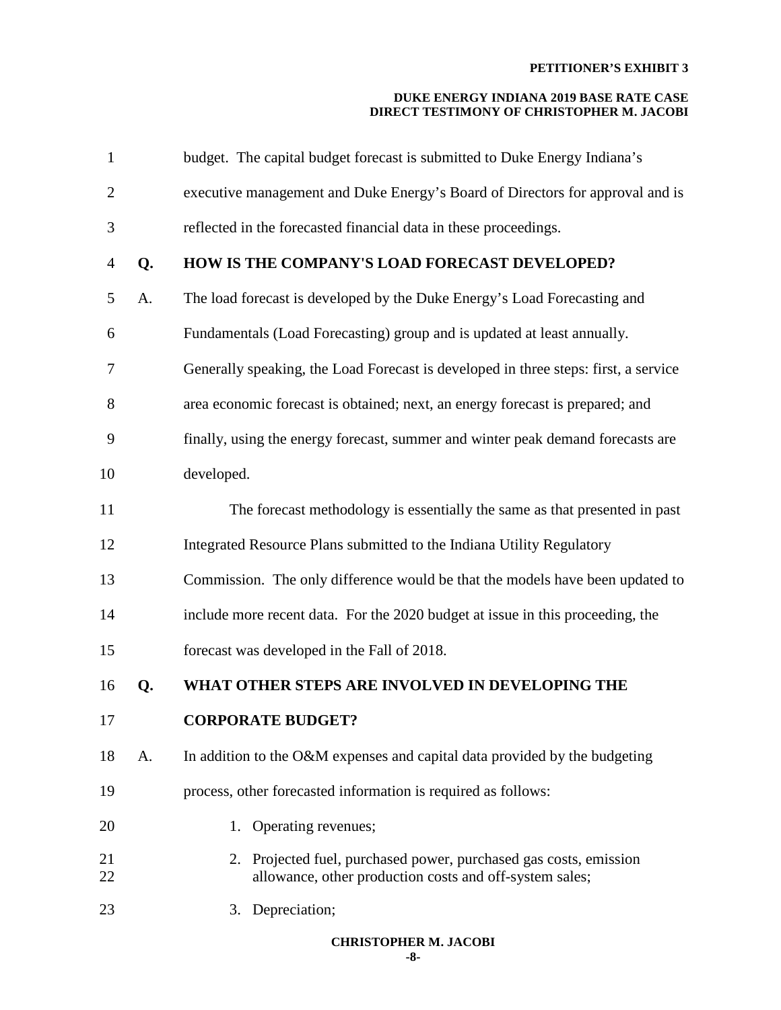| $\mathbf{1}$   |    | budget. The capital budget forecast is submitted to Duke Energy Indiana's                                                    |
|----------------|----|------------------------------------------------------------------------------------------------------------------------------|
| $\overline{c}$ |    | executive management and Duke Energy's Board of Directors for approval and is                                                |
| 3              |    | reflected in the forecasted financial data in these proceedings.                                                             |
| 4              | Q. | HOW IS THE COMPANY'S LOAD FORECAST DEVELOPED?                                                                                |
| 5              | A. | The load forecast is developed by the Duke Energy's Load Forecasting and                                                     |
| 6              |    | Fundamentals (Load Forecasting) group and is updated at least annually.                                                      |
| 7              |    | Generally speaking, the Load Forecast is developed in three steps: first, a service                                          |
| 8              |    | area economic forecast is obtained; next, an energy forecast is prepared; and                                                |
| 9              |    | finally, using the energy forecast, summer and winter peak demand forecasts are                                              |
| 10             |    | developed.                                                                                                                   |
| 11             |    | The forecast methodology is essentially the same as that presented in past                                                   |
| 12             |    | Integrated Resource Plans submitted to the Indiana Utility Regulatory                                                        |
| 13             |    | Commission. The only difference would be that the models have been updated to                                                |
| 14             |    | include more recent data. For the 2020 budget at issue in this proceeding, the                                               |
| 15             |    | forecast was developed in the Fall of 2018.                                                                                  |
| 16             | Q. | WHAT OTHER STEPS ARE INVOLVED IN DEVELOPING THE                                                                              |
| 17             |    | <b>CORPORATE BUDGET?</b>                                                                                                     |
| 18             | A. | In addition to the O&M expenses and capital data provided by the budgeting                                                   |
| 19             |    | process, other forecasted information is required as follows:                                                                |
| 20             |    | 1. Operating revenues;                                                                                                       |
| 21<br>22       |    | 2. Projected fuel, purchased power, purchased gas costs, emission<br>allowance, other production costs and off-system sales; |
| 23             |    | 3. Depreciation;                                                                                                             |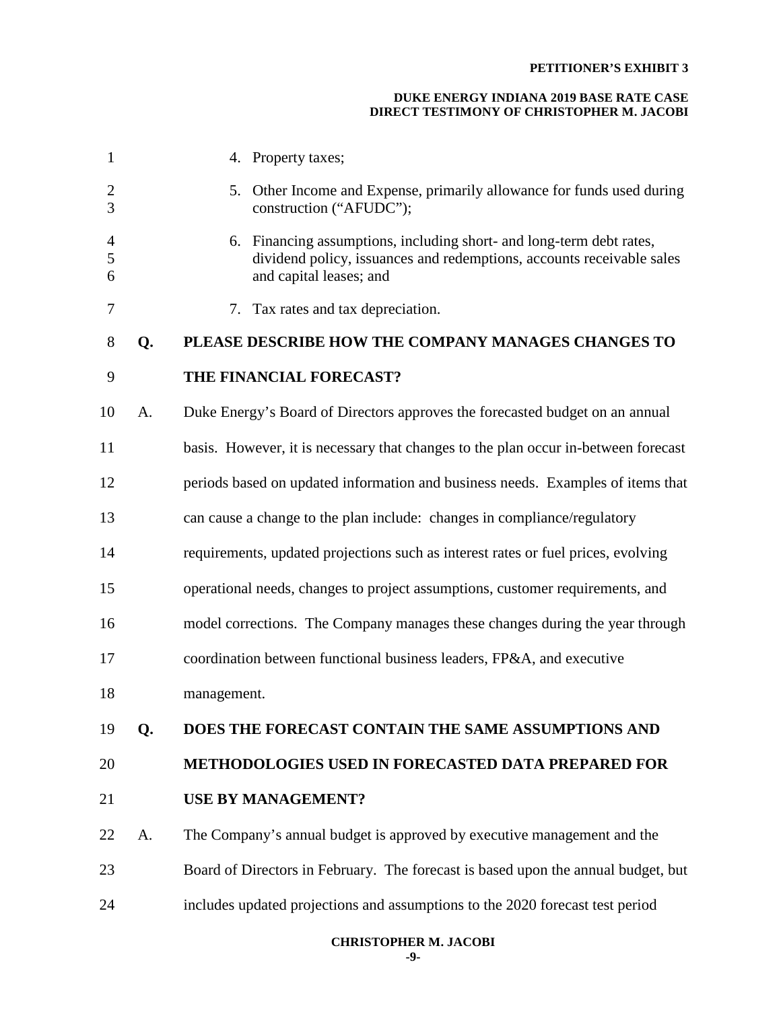| 1                        |    | 4. Property taxes;                                                                                                                                                       |
|--------------------------|----|--------------------------------------------------------------------------------------------------------------------------------------------------------------------------|
| $\overline{2}$<br>3      |    | 5. Other Income and Expense, primarily allowance for funds used during<br>construction ("AFUDC");                                                                        |
| $\overline{4}$<br>5<br>6 |    | 6. Financing assumptions, including short- and long-term debt rates,<br>dividend policy, issuances and redemptions, accounts receivable sales<br>and capital leases; and |
| 7                        |    | 7. Tax rates and tax depreciation.                                                                                                                                       |
| 8                        | Q. | PLEASE DESCRIBE HOW THE COMPANY MANAGES CHANGES TO                                                                                                                       |
| 9                        |    | THE FINANCIAL FORECAST?                                                                                                                                                  |
| 10                       | A. | Duke Energy's Board of Directors approves the forecasted budget on an annual                                                                                             |
| 11                       |    | basis. However, it is necessary that changes to the plan occur in-between forecast                                                                                       |
| 12                       |    | periods based on updated information and business needs. Examples of items that                                                                                          |
| 13                       |    | can cause a change to the plan include: changes in compliance/regulatory                                                                                                 |
| 14                       |    | requirements, updated projections such as interest rates or fuel prices, evolving                                                                                        |
| 15                       |    | operational needs, changes to project assumptions, customer requirements, and                                                                                            |
| 16                       |    | model corrections. The Company manages these changes during the year through                                                                                             |
| 17                       |    | coordination between functional business leaders, FP&A, and executive                                                                                                    |
| 18                       |    | management.                                                                                                                                                              |
| 19                       | Q. | DOES THE FORECAST CONTAIN THE SAME ASSUMPTIONS AND                                                                                                                       |
| 20                       |    | <b>METHODOLOGIES USED IN FORECASTED DATA PREPARED FOR</b>                                                                                                                |
| 21                       |    | <b>USE BY MANAGEMENT?</b>                                                                                                                                                |
| 22                       | A. | The Company's annual budget is approved by executive management and the                                                                                                  |
| 23                       |    | Board of Directors in February. The forecast is based upon the annual budget, but                                                                                        |
| 24                       |    | includes updated projections and assumptions to the 2020 forecast test period                                                                                            |
|                          |    |                                                                                                                                                                          |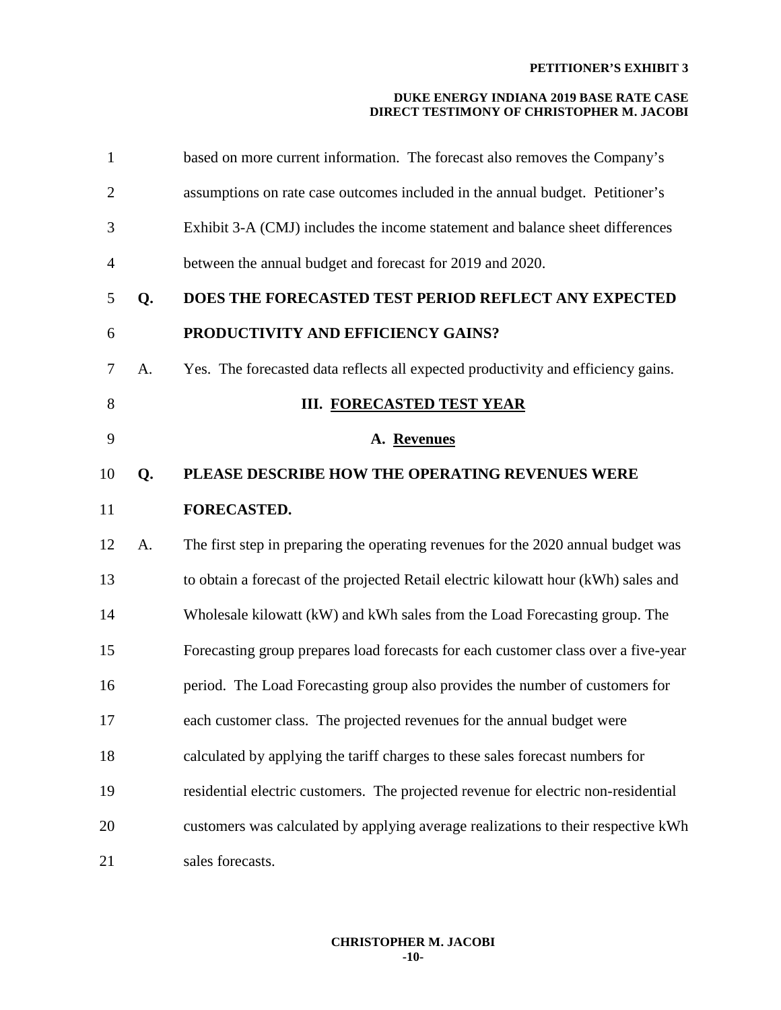| 1              |    | based on more current information. The forecast also removes the Company's          |
|----------------|----|-------------------------------------------------------------------------------------|
| $\overline{2}$ |    | assumptions on rate case outcomes included in the annual budget. Petitioner's       |
| 3              |    | Exhibit 3-A (CMJ) includes the income statement and balance sheet differences       |
| 4              |    | between the annual budget and forecast for 2019 and 2020.                           |
| 5              | Q. | DOES THE FORECASTED TEST PERIOD REFLECT ANY EXPECTED                                |
| 6              |    | PRODUCTIVITY AND EFFICIENCY GAINS?                                                  |
| $\tau$         | A. | Yes. The forecasted data reflects all expected productivity and efficiency gains.   |
| 8              |    | <b>III. FORECASTED TEST YEAR</b>                                                    |
| 9              |    | A. Revenues                                                                         |
| 10             | Q. | PLEASE DESCRIBE HOW THE OPERATING REVENUES WERE                                     |
| 11             |    | <b>FORECASTED.</b>                                                                  |
| 12             | A. | The first step in preparing the operating revenues for the 2020 annual budget was   |
| 13             |    | to obtain a forecast of the projected Retail electric kilowatt hour (kWh) sales and |
| 14             |    | Wholesale kilowatt (kW) and kWh sales from the Load Forecasting group. The          |
| 15             |    | Forecasting group prepares load forecasts for each customer class over a five-year  |
| 16             |    | period. The Load Forecasting group also provides the number of customers for        |
| 17             |    | each customer class. The projected revenues for the annual budget were              |
| 18             |    | calculated by applying the tariff charges to these sales forecast numbers for       |
| 19             |    | residential electric customers. The projected revenue for electric non-residential  |
| 20             |    | customers was calculated by applying average realizations to their respective kWh   |
| 21             |    | sales forecasts.                                                                    |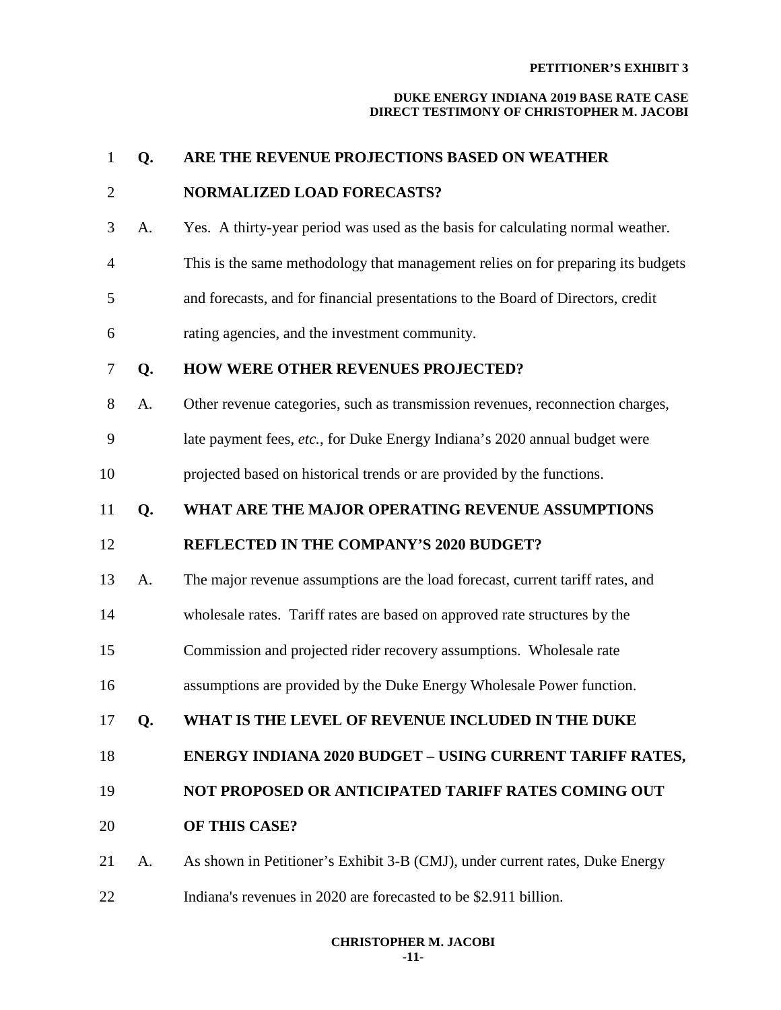| $\mathbf{1}$   | Q. | ARE THE REVENUE PROJECTIONS BASED ON WEATHER                                     |  |
|----------------|----|----------------------------------------------------------------------------------|--|
| $\overline{2}$ |    | <b>NORMALIZED LOAD FORECASTS?</b>                                                |  |
| 3              | A. | Yes. A thirty-year period was used as the basis for calculating normal weather.  |  |
| $\overline{4}$ |    | This is the same methodology that management relies on for preparing its budgets |  |
| 5              |    | and forecasts, and for financial presentations to the Board of Directors, credit |  |
| 6              |    | rating agencies, and the investment community.                                   |  |
| 7              | Q. | <b>HOW WERE OTHER REVENUES PROJECTED?</b>                                        |  |
| 8              | A. | Other revenue categories, such as transmission revenues, reconnection charges,   |  |
| 9              |    | late payment fees, etc., for Duke Energy Indiana's 2020 annual budget were       |  |
| 10             |    | projected based on historical trends or are provided by the functions.           |  |
| 11             | Q. | WHAT ARE THE MAJOR OPERATING REVENUE ASSUMPTIONS                                 |  |
| 12             |    | <b>REFLECTED IN THE COMPANY'S 2020 BUDGET?</b>                                   |  |
| 13             | A. | The major revenue assumptions are the load forecast, current tariff rates, and   |  |
| 14             |    | wholesale rates. Tariff rates are based on approved rate structures by the       |  |
| 15             |    | Commission and projected rider recovery assumptions. Wholesale rate              |  |
| 16             |    | assumptions are provided by the Duke Energy Wholesale Power function.            |  |
| 17             | Q. | WHAT IS THE LEVEL OF REVENUE INCLUDED IN THE DUKE                                |  |
| 18             |    | <b>ENERGY INDIANA 2020 BUDGET - USING CURRENT TARIFF RATES,</b>                  |  |
| 19             |    | NOT PROPOSED OR ANTICIPATED TARIFF RATES COMING OUT                              |  |
|                |    |                                                                                  |  |
| 20             |    | OF THIS CASE?                                                                    |  |
| 21             | A. | As shown in Petitioner's Exhibit 3-B (CMJ), under current rates, Duke Energy     |  |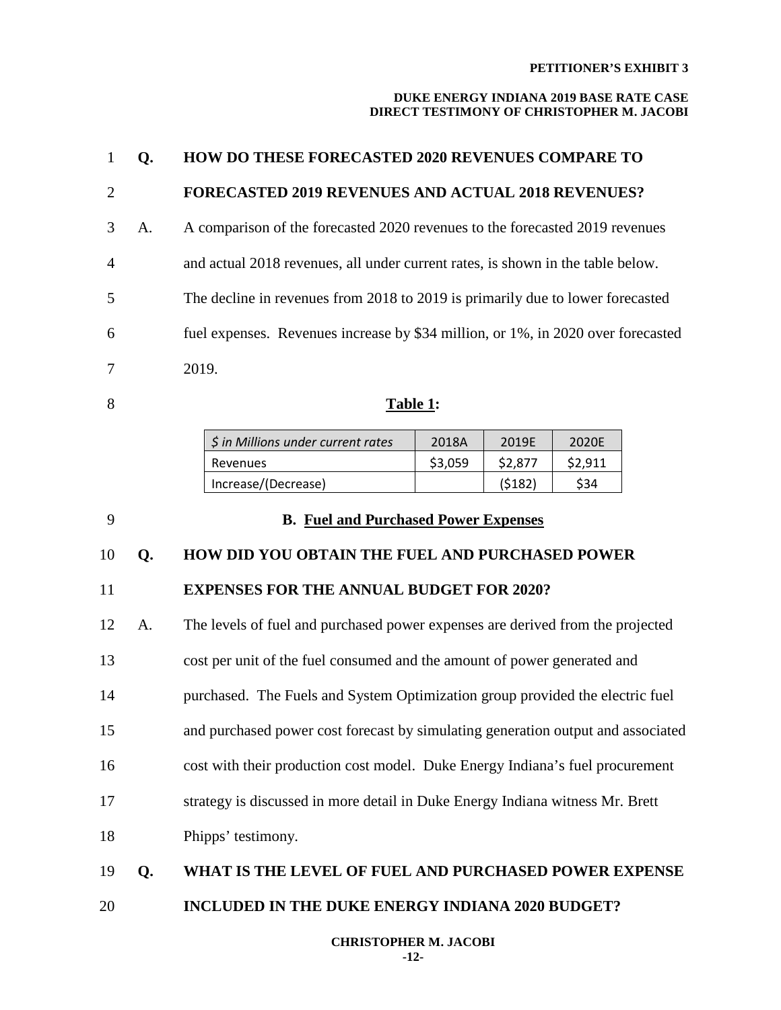### **DUKE ENERGY INDIANA 2019 BASE RATE CASE DIRECT TESTIMONY OF CHRISTOPHER M. JACOBI**

|                |    | <b>HOW DO THESE FORECASTED 2020 REVENUES COMPARE TO</b>                          |
|----------------|----|----------------------------------------------------------------------------------|
| 2              |    | <b>FORECASTED 2019 REVENUES AND ACTUAL 2018 REVENUES?</b>                        |
| 3              | А. | A comparison of the forecasted 2020 revenues to the forecasted 2019 revenues     |
| $\overline{4}$ |    | and actual 2018 revenues, all under current rates, is shown in the table below.  |
| 5              |    | The decline in revenues from 2018 to 2019 is primarily due to lower forecasted   |
| 6              |    | fuel expenses. Revenues increase by \$34 million, or 1%, in 2020 over forecasted |
| 7              |    | 2019.                                                                            |

| 8 | Table 1: |
|---|----------|
|---|----------|

| \$ in Millions under current rates | 2018A   | 2019F   | 2020F  |
|------------------------------------|---------|---------|--------|
| Revenues                           | \$3,059 | \$2,877 | S2.911 |
| Increase/(Decrease)                |         | (5182)  | \$34   |

### 9 **B. Fuel and Purchased Power Expenses**

### 10 **Q. HOW DID YOU OBTAIN THE FUEL AND PURCHASED POWER**

### 11 **EXPENSES FOR THE ANNUAL BUDGET FOR 2020?**

12 A. The levels of fuel and purchased power expenses are derived from the projected 13 cost per unit of the fuel consumed and the amount of power generated and

14 purchased. The Fuels and System Optimization group provided the electric fuel

15 and purchased power cost forecast by simulating generation output and associated

- 16 cost with their production cost model. Duke Energy Indiana's fuel procurement
- 17 strategy is discussed in more detail in Duke Energy Indiana witness Mr. Brett
- 18 Phipps' testimony.

## 19 **Q. WHAT IS THE LEVEL OF FUEL AND PURCHASED POWER EXPENSE**

20 **INCLUDED IN THE DUKE ENERGY INDIANA 2020 BUDGET?**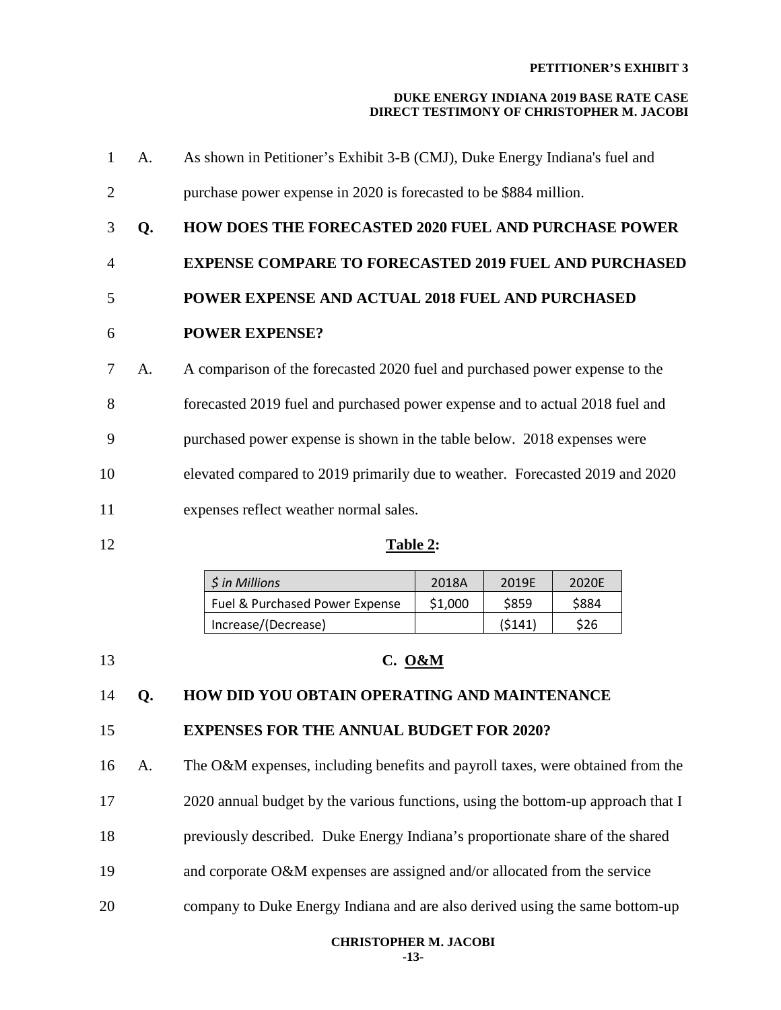### **DUKE ENERGY INDIANA 2019 BASE RATE CASE DIRECT TESTIMONY OF CHRISTOPHER M. JACOBI**

- 1 A. As shown in Petitioner's Exhibit 3-B (CMJ), Duke Energy Indiana's fuel and 2 purchase power expense in 2020 is forecasted to be \$884 million.
- 3 **Q. HOW DOES THE FORECASTED 2020 FUEL AND PURCHASE POWER**
- 4 **EXPENSE COMPARE TO FORECASTED 2019 FUEL AND PURCHASED**
- 5 **POWER EXPENSE AND ACTUAL 2018 FUEL AND PURCHASED**

## 6 **POWER EXPENSE?**

- 7 A. A comparison of the forecasted 2020 fuel and purchased power expense to the
- 8 forecasted 2019 fuel and purchased power expense and to actual 2018 fuel and
- 9 purchased power expense is shown in the table below. 2018 expenses were
- 10 elevated compared to 2019 primarily due to weather. Forecasted 2019 and 2020
- 11 expenses reflect weather normal sales.
- 

### 12 **Table 2:**

| <i>S</i> in Millions           | 2018A   | 2019F  | 2020E |
|--------------------------------|---------|--------|-------|
| Fuel & Purchased Power Expense | \$1,000 | \$859  | \$884 |
| Increase/(Decrease)            |         | (5141) | \$26  |

13 **C. O&M**

## 14 **Q. HOW DID YOU OBTAIN OPERATING AND MAINTENANCE**

## 15 **EXPENSES FOR THE ANNUAL BUDGET FOR 2020?**

16 A. The O&M expenses, including benefits and payroll taxes, were obtained from the 17 2020 annual budget by the various functions, using the bottom-up approach that I

- 18 previously described. Duke Energy Indiana's proportionate share of the shared
- 19 and corporate O&M expenses are assigned and/or allocated from the service
- 20 company to Duke Energy Indiana and are also derived using the same bottom-up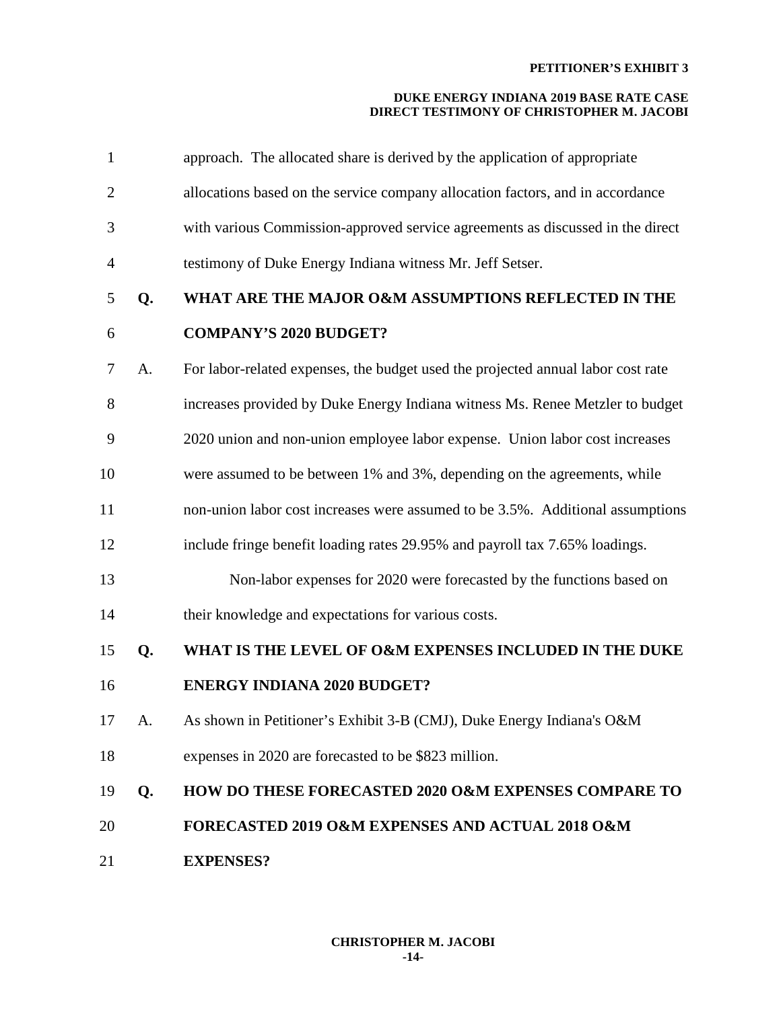| $\mathbf{1}$   |    | approach. The allocated share is derived by the application of appropriate       |
|----------------|----|----------------------------------------------------------------------------------|
| $\overline{2}$ |    | allocations based on the service company allocation factors, and in accordance   |
| 3              |    | with various Commission-approved service agreements as discussed in the direct   |
| $\overline{4}$ |    | testimony of Duke Energy Indiana witness Mr. Jeff Setser.                        |
| 5              | Q. | WHAT ARE THE MAJOR O&M ASSUMPTIONS REFLECTED IN THE                              |
| 6              |    | <b>COMPANY'S 2020 BUDGET?</b>                                                    |
| 7              | A. | For labor-related expenses, the budget used the projected annual labor cost rate |
| 8              |    | increases provided by Duke Energy Indiana witness Ms. Renee Metzler to budget    |
| 9              |    | 2020 union and non-union employee labor expense. Union labor cost increases      |
| 10             |    | were assumed to be between 1% and 3%, depending on the agreements, while         |
| 11             |    | non-union labor cost increases were assumed to be 3.5%. Additional assumptions   |
| 12             |    | include fringe benefit loading rates 29.95% and payroll tax 7.65% loadings.      |
| 13             |    | Non-labor expenses for 2020 were forecasted by the functions based on            |
| 14             |    | their knowledge and expectations for various costs.                              |
| 15             | Q. | WHAT IS THE LEVEL OF O&M EXPENSES INCLUDED IN THE DUKE                           |
| 16             |    | <b>ENERGY INDIANA 2020 BUDGET?</b>                                               |
| 17             | A. | As shown in Petitioner's Exhibit 3-B (CMJ), Duke Energy Indiana's O&M            |
| 18             |    | expenses in 2020 are forecasted to be \$823 million.                             |
| 19             | Q. | <b>HOW DO THESE FORECASTED 2020 O&amp;M EXPENSES COMPARE TO</b>                  |
| 20             |    | <b>FORECASTED 2019 O&amp;M EXPENSES AND ACTUAL 2018 O&amp;M</b>                  |
| 21             |    | <b>EXPENSES?</b>                                                                 |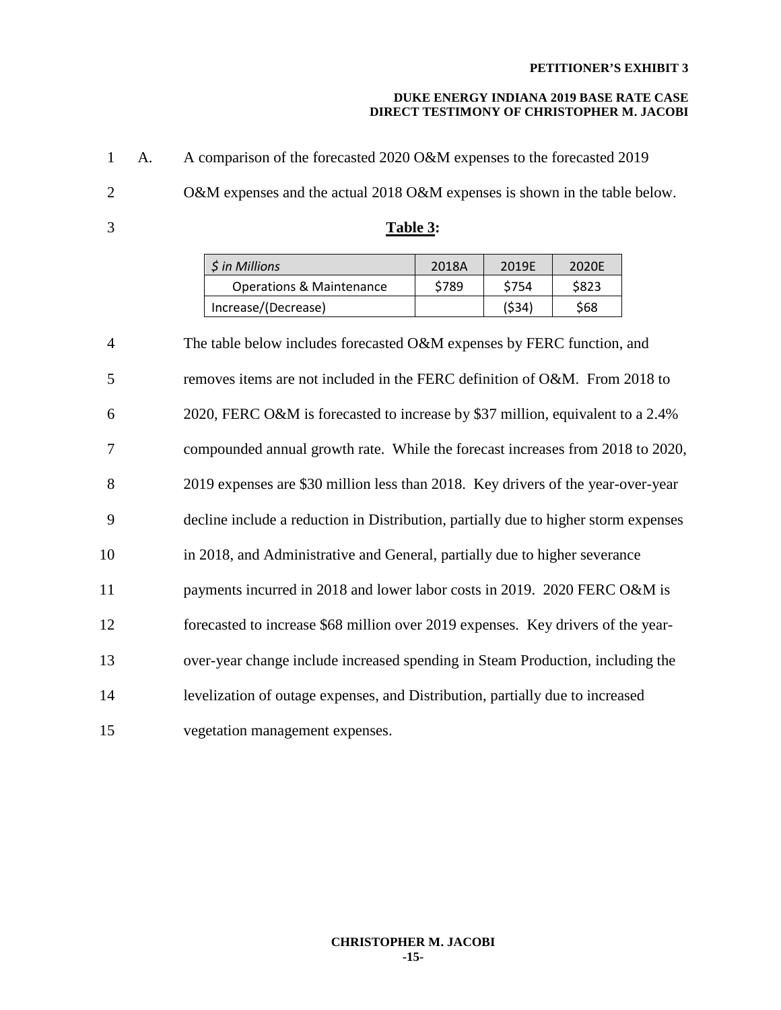| $\mathbf{1}$   | A. | A comparison of the forecasted 2020 O&M expenses to the forecasted 2019             |          |       |       |  |  |
|----------------|----|-------------------------------------------------------------------------------------|----------|-------|-------|--|--|
| $\overline{2}$ |    | O&M expenses and the actual 2018 O&M expenses is shown in the table below.          |          |       |       |  |  |
| 3              |    |                                                                                     | Table 3: |       |       |  |  |
|                |    | \$ in Millions                                                                      | 2018A    | 2019E | 2020E |  |  |
|                |    | <b>Operations &amp; Maintenance</b>                                                 | \$789    | \$754 | \$823 |  |  |
|                |    | Increase/(Decrease)                                                                 |          | (534) | \$68  |  |  |
| $\overline{4}$ |    | The table below includes forecasted O&M expenses by FERC function, and              |          |       |       |  |  |
| 5              |    | removes items are not included in the FERC definition of O&M. From 2018 to          |          |       |       |  |  |
| 6              |    | 2020, FERC O&M is forecasted to increase by \$37 million, equivalent to a 2.4%      |          |       |       |  |  |
| 7              |    | compounded annual growth rate. While the forecast increases from 2018 to 2020,      |          |       |       |  |  |
| 8              |    | 2019 expenses are \$30 million less than 2018. Key drivers of the year-over-year    |          |       |       |  |  |
| 9              |    | decline include a reduction in Distribution, partially due to higher storm expenses |          |       |       |  |  |
| 10             |    | in 2018, and Administrative and General, partially due to higher severance          |          |       |       |  |  |
| 11             |    | payments incurred in 2018 and lower labor costs in 2019. 2020 FERC O&M is           |          |       |       |  |  |
| 12             |    | forecasted to increase \$68 million over 2019 expenses. Key drivers of the year-    |          |       |       |  |  |
| 13             |    | over-year change include increased spending in Steam Production, including the      |          |       |       |  |  |
| 14             |    | levelization of outage expenses, and Distribution, partially due to increased       |          |       |       |  |  |
| 15             |    | vegetation management expenses.                                                     |          |       |       |  |  |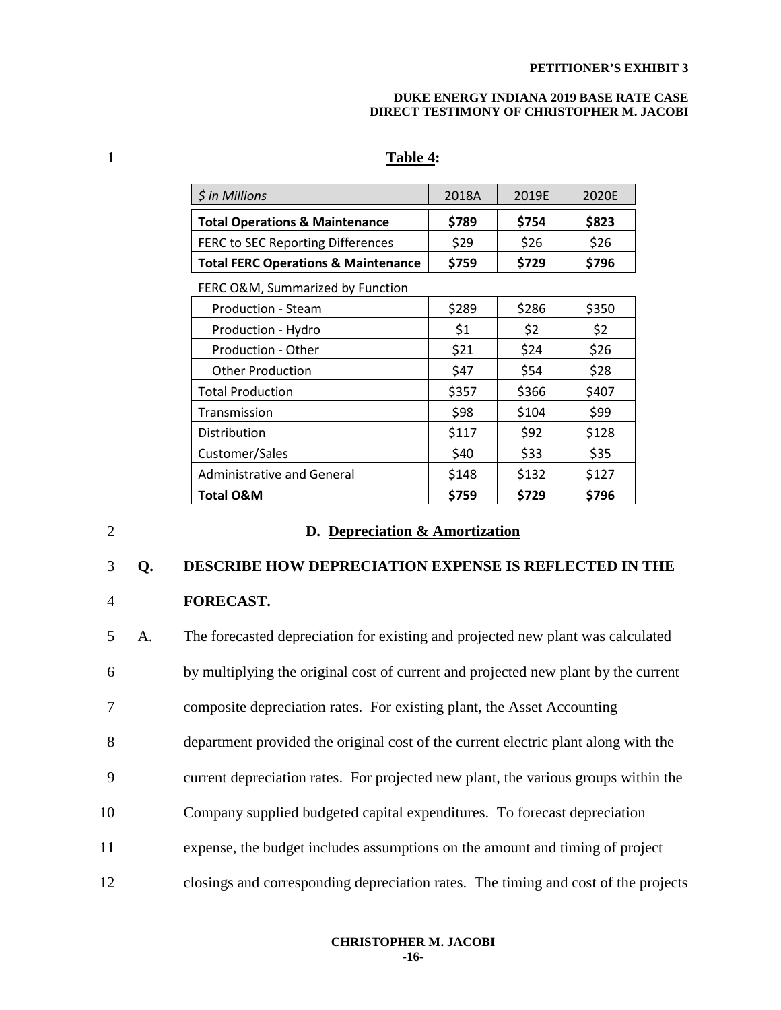#### **DUKE ENERGY INDIANA 2019 BASE RATE CASE DIRECT TESTIMONY OF CHRISTOPHER M. JACOBI**

## 1 **Table 4:**

| $\frac{1}{2}$ in Millions                      | 2018A | 2019F | 2020E |
|------------------------------------------------|-------|-------|-------|
| <b>Total Operations &amp; Maintenance</b>      | \$789 | \$754 | \$823 |
| FERC to SEC Reporting Differences              | \$29  | \$26  | \$26  |
| <b>Total FERC Operations &amp; Maintenance</b> | \$759 | \$729 | \$796 |

FERC O&M, Summarized by Function

| Production - Steam                | \$289 | \$286 | \$350 |
|-----------------------------------|-------|-------|-------|
| Production - Hydro                | \$1   | \$2   | \$2   |
| Production - Other                | \$21  | \$24  | \$26  |
| <b>Other Production</b>           | \$47  | \$54  | \$28  |
| <b>Total Production</b>           | \$357 | \$366 | \$407 |
| Transmission                      | \$98  | \$104 | \$99  |
| Distribution                      | \$117 | \$92  | \$128 |
| Customer/Sales                    | \$40  | \$33  | \$35  |
| <b>Administrative and General</b> | \$148 | \$132 | \$127 |
| <b>Total O&amp;M</b>              | \$759 | \$729 | \$796 |

### 2 **D. Depreciation & Amortization**

### 3 **Q. DESCRIBE HOW DEPRECIATION EXPENSE IS REFLECTED IN THE**

### 4 **FORECAST.**

5 A. The forecasted depreciation for existing and projected new plant was calculated 6 by multiplying the original cost of current and projected new plant by the current 7 composite depreciation rates. For existing plant, the Asset Accounting 8 department provided the original cost of the current electric plant along with the 9 current depreciation rates. For projected new plant, the various groups within the 10 Company supplied budgeted capital expenditures. To forecast depreciation 11 expense, the budget includes assumptions on the amount and timing of project 12 closings and corresponding depreciation rates. The timing and cost of the projects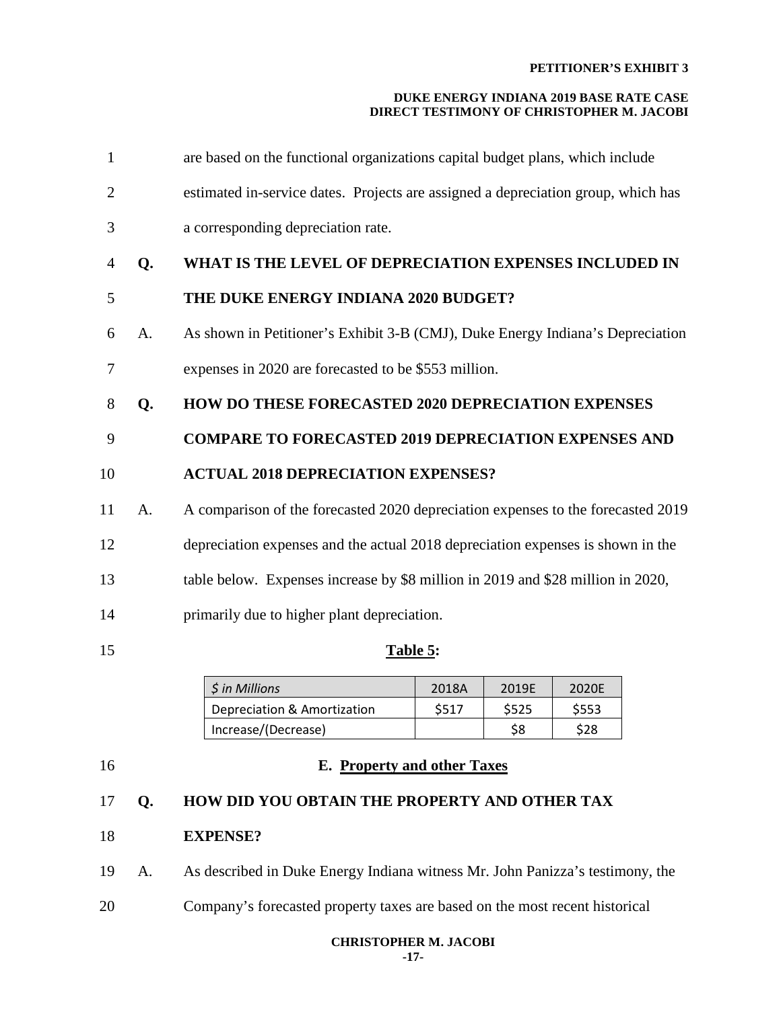### **DUKE ENERGY INDIANA 2019 BASE RATE CASE DIRECT TESTIMONY OF CHRISTOPHER M. JACOBI**

| 1              |    | are based on the functional organizations capital budget plans, which include     |
|----------------|----|-----------------------------------------------------------------------------------|
| $\overline{2}$ |    | estimated in-service dates. Projects are assigned a depreciation group, which has |
| 3              |    | a corresponding depreciation rate.                                                |
| 4              | Q. | WHAT IS THE LEVEL OF DEPRECIATION EXPENSES INCLUDED IN                            |
| 5              |    | THE DUKE ENERGY INDIANA 2020 BUDGET?                                              |
| 6              | A. | As shown in Petitioner's Exhibit 3-B (CMJ), Duke Energy Indiana's Depreciation    |
| 7              |    | expenses in 2020 are forecasted to be \$553 million.                              |
| 8              | Q. | <b>HOW DO THESE FORECASTED 2020 DEPRECIATION EXPENSES</b>                         |
| 9              |    | <b>COMPARE TO FORECASTED 2019 DEPRECIATION EXPENSES AND</b>                       |
| 10             |    | <b>ACTUAL 2018 DEPRECIATION EXPENSES?</b>                                         |
| 11             | A. | A comparison of the forecasted 2020 depreciation expenses to the forecasted 2019  |
| 12             |    | depreciation expenses and the actual 2018 depreciation expenses is shown in the   |
| 13             |    | table below. Expenses increase by \$8 million in 2019 and \$28 million in 2020,   |
|                |    |                                                                                   |

## 15 **Table 5:**

| \$ in Millions              | 2018A | 2019F | 2020F |
|-----------------------------|-------|-------|-------|
| Depreciation & Amortization | \$517 | S525  | S553  |
| Increase/(Decrease)         |       | \$8   | S28   |

## 16 **E. Property and other Taxes**

## 17 **Q. HOW DID YOU OBTAIN THE PROPERTY AND OTHER TAX**

14 primarily due to higher plant depreciation.

- 18 **EXPENSE?**
- 19 A. As described in Duke Energy Indiana witness Mr. John Panizza's testimony, the
- 20 Company's forecasted property taxes are based on the most recent historical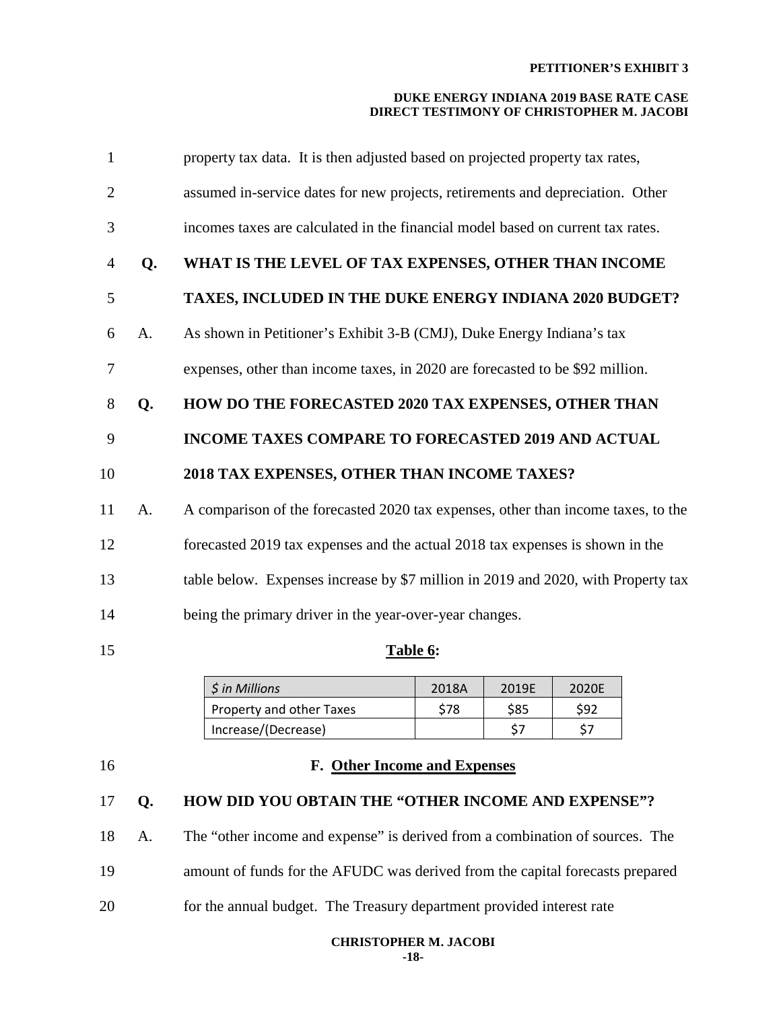### **DUKE ENERGY INDIANA 2019 BASE RATE CASE DIRECT TESTIMONY OF CHRISTOPHER M. JACOBI**

| $\mathbf{1}$   |    | property tax data. It is then adjusted based on projected property tax rates,     |
|----------------|----|-----------------------------------------------------------------------------------|
| $\overline{2}$ |    | assumed in-service dates for new projects, retirements and depreciation. Other    |
| 3              |    | incomes taxes are calculated in the financial model based on current tax rates.   |
| 4              | Q. | WHAT IS THE LEVEL OF TAX EXPENSES, OTHER THAN INCOME                              |
| 5              |    | TAXES, INCLUDED IN THE DUKE ENERGY INDIANA 2020 BUDGET?                           |
| 6              | A. | As shown in Petitioner's Exhibit 3-B (CMJ), Duke Energy Indiana's tax             |
| 7              |    | expenses, other than income taxes, in 2020 are forecasted to be \$92 million.     |
| 8              | Q. | HOW DO THE FORECASTED 2020 TAX EXPENSES, OTHER THAN                               |
| 9              |    | INCOME TAXES COMPARE TO FORECASTED 2019 AND ACTUAL                                |
| 10             |    | 2018 TAX EXPENSES, OTHER THAN INCOME TAXES?                                       |
| 11             | A. | A comparison of the forecasted 2020 tax expenses, other than income taxes, to the |
| 12             |    | forecasted 2019 tax expenses and the actual 2018 tax expenses is shown in the     |
| 13             |    | table below. Expenses increase by \$7 million in 2019 and 2020, with Property tax |
| 14             |    | being the primary driver in the year-over-year changes.                           |
| 15             |    | Table 6:                                                                          |

| \$ in Millions           | 2018A | 2019F      | 2020E |
|--------------------------|-------|------------|-------|
| Property and other Taxes | \$78  | <b>S85</b> | \$92  |
| Increase/(Decrease)      |       | \$7        |       |

## 16 **F. Other Income and Expenses**

# 17 **Q. HOW DID YOU OBTAIN THE "OTHER INCOME AND EXPENSE"?**

- 18 A. The "other income and expense" is derived from a combination of sources. The
- 19 amount of funds for the AFUDC was derived from the capital forecasts prepared
- 20 for the annual budget. The Treasury department provided interest rate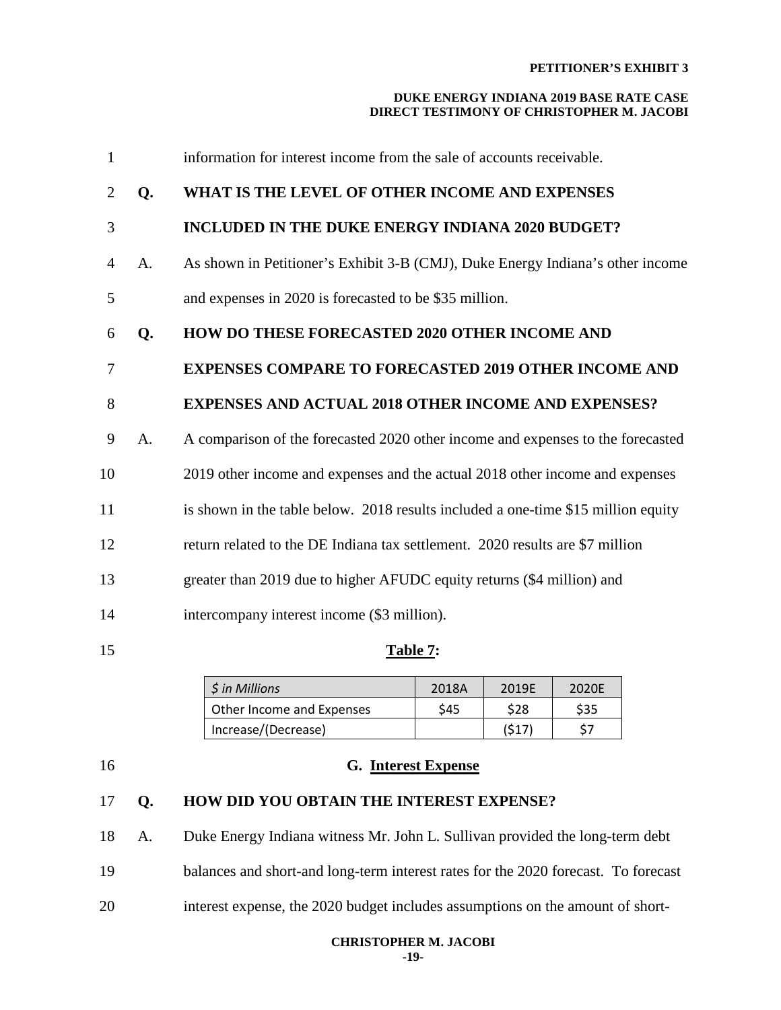### **DUKE ENERGY INDIANA 2019 BASE RATE CASE DIRECT TESTIMONY OF CHRISTOPHER M. JACOBI**

| $\mathbf{1}$   |    | information for interest income from the sale of accounts receivable.             |
|----------------|----|-----------------------------------------------------------------------------------|
| $\overline{2}$ | Q. | WHAT IS THE LEVEL OF OTHER INCOME AND EXPENSES                                    |
| 3              |    | <b>INCLUDED IN THE DUKE ENERGY INDIANA 2020 BUDGET?</b>                           |
| $\overline{4}$ | A. | As shown in Petitioner's Exhibit 3-B (CMJ), Duke Energy Indiana's other income    |
| 5              |    | and expenses in 2020 is forecasted to be \$35 million.                            |
| 6              | Q. | <b>HOW DO THESE FORECASTED 2020 OTHER INCOME AND</b>                              |
| $\overline{7}$ |    | <b>EXPENSES COMPARE TO FORECASTED 2019 OTHER INCOME AND</b>                       |
| 8              |    | <b>EXPENSES AND ACTUAL 2018 OTHER INCOME AND EXPENSES?</b>                        |
| 9              | A. | A comparison of the forecasted 2020 other income and expenses to the forecasted   |
| 10             |    | 2019 other income and expenses and the actual 2018 other income and expenses      |
| 11             |    | is shown in the table below. 2018 results included a one-time \$15 million equity |
| 12             |    | return related to the DE Indiana tax settlement. 2020 results are \$7 million     |
| 13             |    | greater than 2019 due to higher AFUDC equity returns (\$4 million) and            |
| 14             |    | intercompany interest income (\$3 million).                                       |
| 15             |    | Table 7:                                                                          |

| <i>S</i> in Millions      | 2018A | 2019F | 2020F |
|---------------------------|-------|-------|-------|
| Other Income and Expenses | \$45  | \$28  | \$35  |
| Increase/(Decrease)       |       | (\$17 |       |

## 16 **G. Interest Expense**

# 17 **Q. HOW DID YOU OBTAIN THE INTEREST EXPENSE?**

18 A. Duke Energy Indiana witness Mr. John L. Sullivan provided the long-term debt 19 balances and short-and long-term interest rates for the 2020 forecast. To forecast 20 interest expense, the 2020 budget includes assumptions on the amount of short-

#### **CHRISTOPHER M. JACOBI -19-**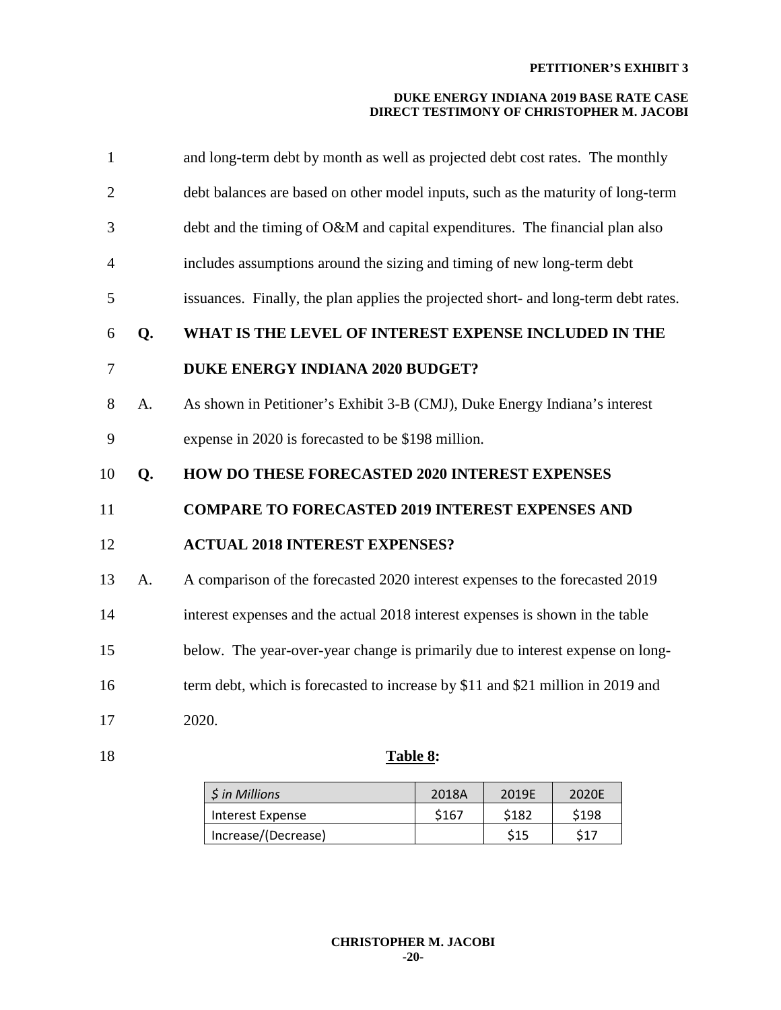| $\mathbf{1}$   |    | and long-term debt by month as well as projected debt cost rates. The monthly       |
|----------------|----|-------------------------------------------------------------------------------------|
| $\overline{2}$ |    | debt balances are based on other model inputs, such as the maturity of long-term    |
| 3              |    | debt and the timing of O&M and capital expenditures. The financial plan also        |
| $\overline{4}$ |    | includes assumptions around the sizing and timing of new long-term debt             |
| 5              |    | issuances. Finally, the plan applies the projected short- and long-term debt rates. |
| 6              | Q. | WHAT IS THE LEVEL OF INTEREST EXPENSE INCLUDED IN THE                               |
| $\overline{7}$ |    | <b>DUKE ENERGY INDIANA 2020 BUDGET?</b>                                             |
| 8              | A. | As shown in Petitioner's Exhibit 3-B (CMJ), Duke Energy Indiana's interest          |
| 9              |    | expense in 2020 is forecasted to be \$198 million.                                  |
| 10             | Q. | <b>HOW DO THESE FORECASTED 2020 INTEREST EXPENSES</b>                               |
| 11             |    | <b>COMPARE TO FORECASTED 2019 INTEREST EXPENSES AND</b>                             |
| 12             |    | <b>ACTUAL 2018 INTEREST EXPENSES?</b>                                               |
| 13             | A. | A comparison of the forecasted 2020 interest expenses to the forecasted 2019        |
| 14             |    | interest expenses and the actual 2018 interest expenses is shown in the table       |
| 15             |    | below. The year-over-year change is primarily due to interest expense on long-      |
| 16             |    | term debt, which is forecasted to increase by \$11 and \$21 million in 2019 and     |
| 17             |    | 2020.                                                                               |
| 18             |    | Table 8:                                                                            |

| \$ in Millions      | 2018A | 2019F      | 2020F      |  |
|---------------------|-------|------------|------------|--|
| Interest Expense    | \$167 | \$182      | \$198      |  |
| Increase/(Decrease) |       | <b>S15</b> | <b>¢17</b> |  |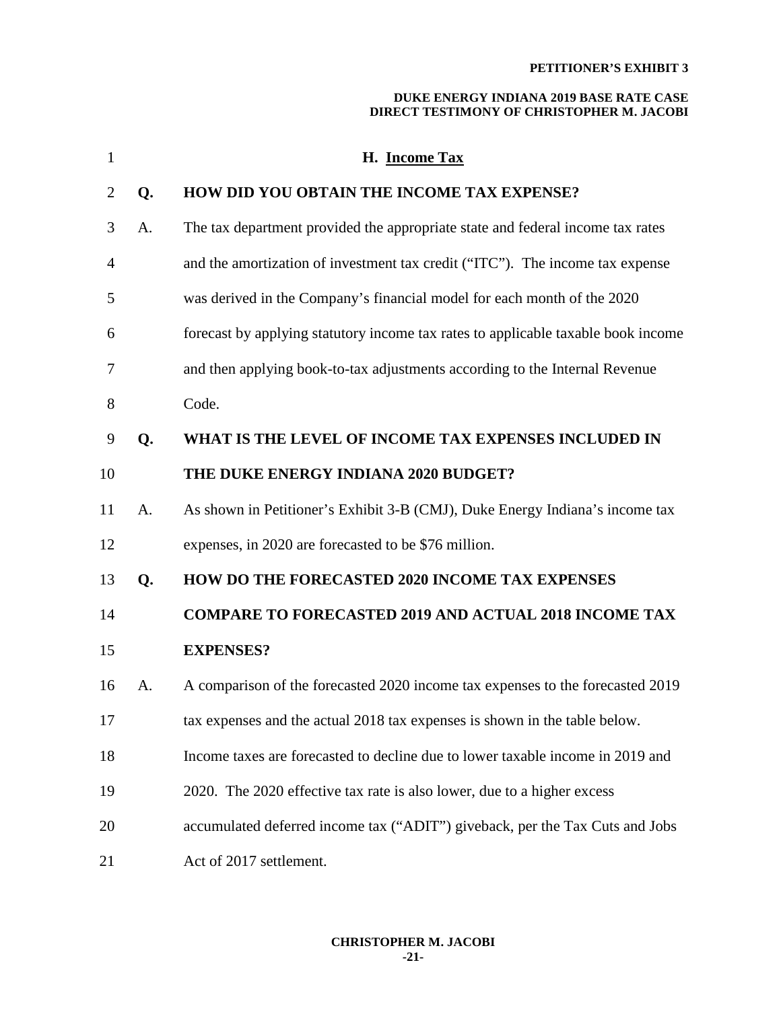| $\mathbf{1}$ |    | H. Income Tax                                                                     |
|--------------|----|-----------------------------------------------------------------------------------|
| 2            | Q. | HOW DID YOU OBTAIN THE INCOME TAX EXPENSE?                                        |
| 3            | A. | The tax department provided the appropriate state and federal income tax rates    |
| 4            |    | and the amortization of investment tax credit ("ITC"). The income tax expense     |
| 5            |    | was derived in the Company's financial model for each month of the 2020           |
| 6            |    | forecast by applying statutory income tax rates to applicable taxable book income |
| 7            |    | and then applying book-to-tax adjustments according to the Internal Revenue       |
| 8            |    | Code.                                                                             |
| 9            | Q. | WHAT IS THE LEVEL OF INCOME TAX EXPENSES INCLUDED IN                              |
| 10           |    | THE DUKE ENERGY INDIANA 2020 BUDGET?                                              |
| 11           | A. | As shown in Petitioner's Exhibit 3-B (CMJ), Duke Energy Indiana's income tax      |
| 12           |    | expenses, in 2020 are forecasted to be \$76 million.                              |
| 13           | Q. | <b>HOW DO THE FORECASTED 2020 INCOME TAX EXPENSES</b>                             |
| 14           |    | <b>COMPARE TO FORECASTED 2019 AND ACTUAL 2018 INCOME TAX</b>                      |
| 15           |    | <b>EXPENSES?</b>                                                                  |
| 16           | A. | A comparison of the forecasted 2020 income tax expenses to the forecasted 2019    |
| 17           |    | tax expenses and the actual 2018 tax expenses is shown in the table below.        |
| 18           |    | Income taxes are forecasted to decline due to lower taxable income in 2019 and    |
| 19           |    | 2020. The 2020 effective tax rate is also lower, due to a higher excess           |
| 20           |    | accumulated deferred income tax ("ADIT") giveback, per the Tax Cuts and Jobs      |
| 21           |    | Act of 2017 settlement.                                                           |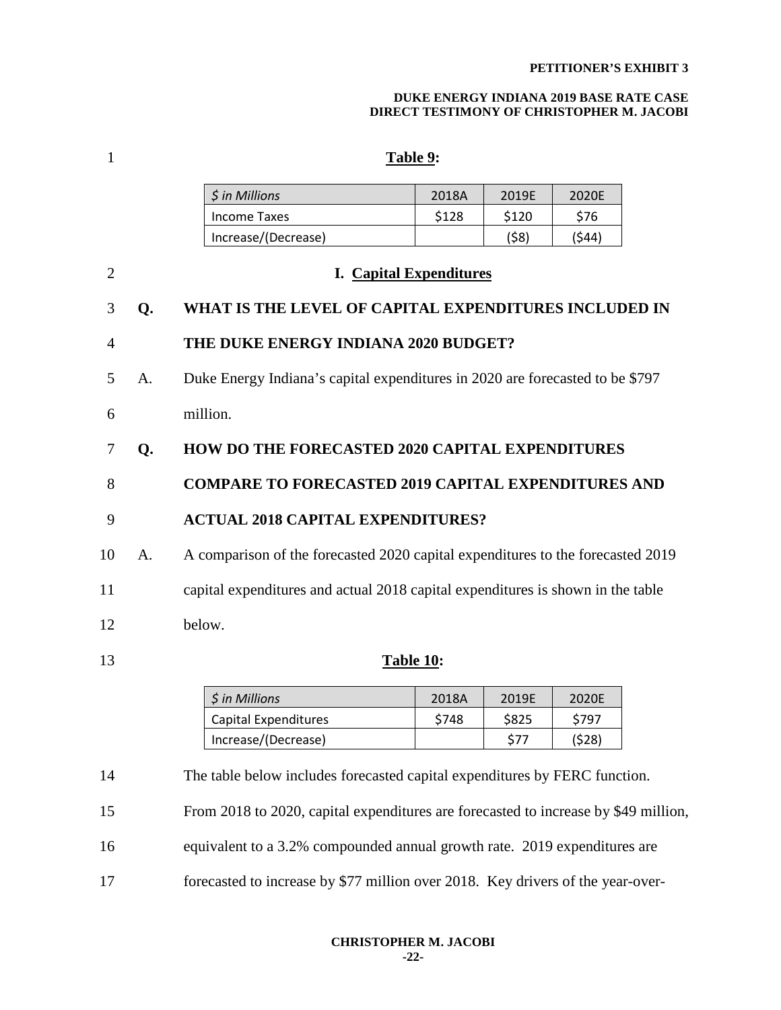#### **DUKE ENERGY INDIANA 2019 BASE RATE CASE DIRECT TESTIMONY OF CHRISTOPHER M. JACOBI**

## 1 **Table 9:**

| \$ in Millions      | 2018A | 2019F | 2020F  |
|---------------------|-------|-------|--------|
| Income Taxes        | \$128 | \$120 | S76    |
| Increase/(Decrease) |       | (58)  | (\$44) |

| 2  |    | <b>I.</b> Capital Expenditures                                                  |
|----|----|---------------------------------------------------------------------------------|
| 3  | Q. | WHAT IS THE LEVEL OF CAPITAL EXPENDITURES INCLUDED IN                           |
| 4  |    | THE DUKE ENERGY INDIANA 2020 BUDGET?                                            |
| 5  | A. | Duke Energy Indiana's capital expenditures in 2020 are forecasted to be \$797   |
| 6  |    | million.                                                                        |
| 7  | Q. | <b>HOW DO THE FORECASTED 2020 CAPITAL EXPENDITURES</b>                          |
| 8  |    | <b>COMPARE TO FORECASTED 2019 CAPITAL EXPENDITURES AND</b>                      |
| 9  |    | <b>ACTUAL 2018 CAPITAL EXPENDITURES?</b>                                        |
| 10 | A. | A comparison of the forecasted 2020 capital expenditures to the forecasted 2019 |
| 11 |    | capital expenditures and actual 2018 capital expenditures is shown in the table |
| 12 |    | below.                                                                          |

13 **Table 10:** 

| \$ in Millions       | 2018A | 2019F | 2020F  |  |
|----------------------|-------|-------|--------|--|
| Capital Expenditures | \$748 | \$825 | S797   |  |
| Increase/(Decrease)  |       | \$77  | '\$28' |  |

14 The table below includes forecasted capital expenditures by FERC function.

15 From 2018 to 2020, capital expenditures are forecasted to increase by \$49 million,

16 equivalent to a 3.2% compounded annual growth rate. 2019 expenditures are

17 forecasted to increase by \$77 million over 2018. Key drivers of the year-over-

**CHRISTOPHER M. JACOBI -22-**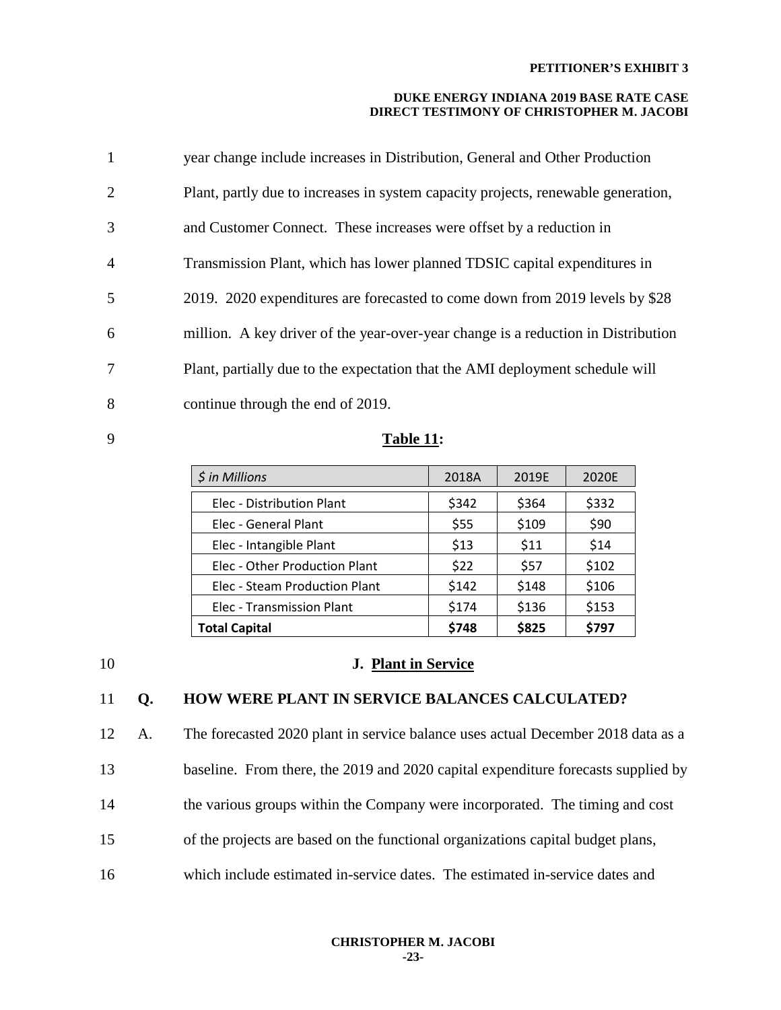### **DUKE ENERGY INDIANA 2019 BASE RATE CASE DIRECT TESTIMONY OF CHRISTOPHER M. JACOBI**

| 1              | year change include increases in Distribution, General and Other Production       |
|----------------|-----------------------------------------------------------------------------------|
| 2              | Plant, partly due to increases in system capacity projects, renewable generation, |
| 3              | and Customer Connect. These increases were offset by a reduction in               |
| $\overline{4}$ | Transmission Plant, which has lower planned TDSIC capital expenditures in         |
| 5              | 2019. 2020 expenditures are forecasted to come down from 2019 levels by \$28      |
| 6              | million. A key driver of the year-over-year change is a reduction in Distribution |
| 7              | Plant, partially due to the expectation that the AMI deployment schedule will     |
| 8              | continue through the end of 2019.                                                 |

9 **Table 11:** 

| \$ in Millions                | 2018A | 2019E | 2020E |
|-------------------------------|-------|-------|-------|
| Elec - Distribution Plant     | \$342 | \$364 | \$332 |
| Elec - General Plant          | \$55  | \$109 | \$90  |
| Elec - Intangible Plant       | \$13  | \$11  | \$14  |
| Elec - Other Production Plant | \$22  | \$57  | \$102 |
| Elec - Steam Production Plant | \$142 | \$148 | \$106 |
| Elec - Transmission Plant     | \$174 | \$136 | \$153 |
| <b>Total Capital</b>          | \$748 | \$825 | \$797 |

### 10 **J. Plant in Service**

### 11 **Q. HOW WERE PLANT IN SERVICE BALANCES CALCULATED?**

12 A. The forecasted 2020 plant in service balance uses actual December 2018 data as a 13 baseline. From there, the 2019 and 2020 capital expenditure forecasts supplied by 14 the various groups within the Company were incorporated. The timing and cost 15 of the projects are based on the functional organizations capital budget plans, 16 which include estimated in-service dates. The estimated in-service dates and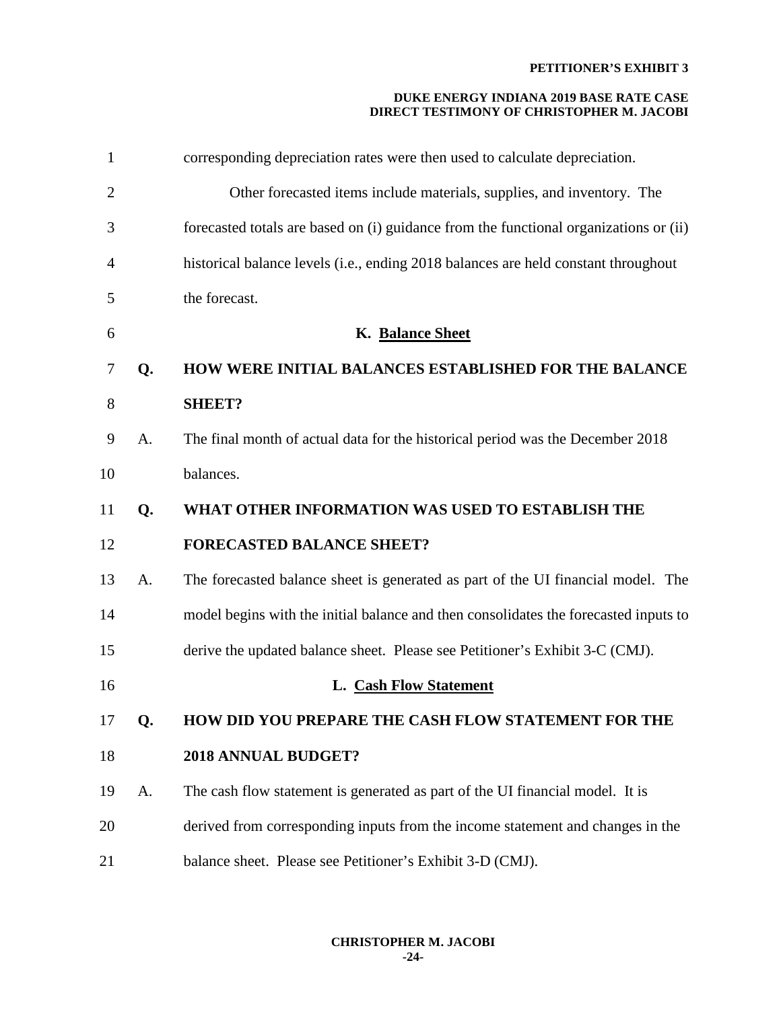| $\mathbf{1}$   |    | corresponding depreciation rates were then used to calculate depreciation.            |
|----------------|----|---------------------------------------------------------------------------------------|
| $\overline{c}$ |    | Other forecasted items include materials, supplies, and inventory. The                |
| 3              |    | forecasted totals are based on (i) guidance from the functional organizations or (ii) |
| 4              |    | historical balance levels (i.e., ending 2018 balances are held constant throughout    |
| 5              |    | the forecast.                                                                         |
| 6              |    | K. Balance Sheet                                                                      |
| 7              | Q. | <b>HOW WERE INITIAL BALANCES ESTABLISHED FOR THE BALANCE</b>                          |
| 8              |    | <b>SHEET?</b>                                                                         |
| 9              | A. | The final month of actual data for the historical period was the December 2018        |
| 10             |    | balances.                                                                             |
| 11             | Q. | WHAT OTHER INFORMATION WAS USED TO ESTABLISH THE                                      |
| 12             |    | <b>FORECASTED BALANCE SHEET?</b>                                                      |
| 13             | A. | The forecasted balance sheet is generated as part of the UI financial model. The      |
| 14             |    | model begins with the initial balance and then consolidates the forecasted inputs to  |
| 15             |    | derive the updated balance sheet. Please see Petitioner's Exhibit 3-C (CMJ).          |
| 16             |    | L. Cash Flow Statement                                                                |
| 17             | Q. | HOW DID YOU PREPARE THE CASH FLOW STATEMENT FOR THE                                   |
| 18             |    | 2018 ANNUAL BUDGET?                                                                   |
| 19             | A. | The cash flow statement is generated as part of the UI financial model. It is         |
| 20             |    | derived from corresponding inputs from the income statement and changes in the        |
| 21             |    | balance sheet. Please see Petitioner's Exhibit 3-D (CMJ).                             |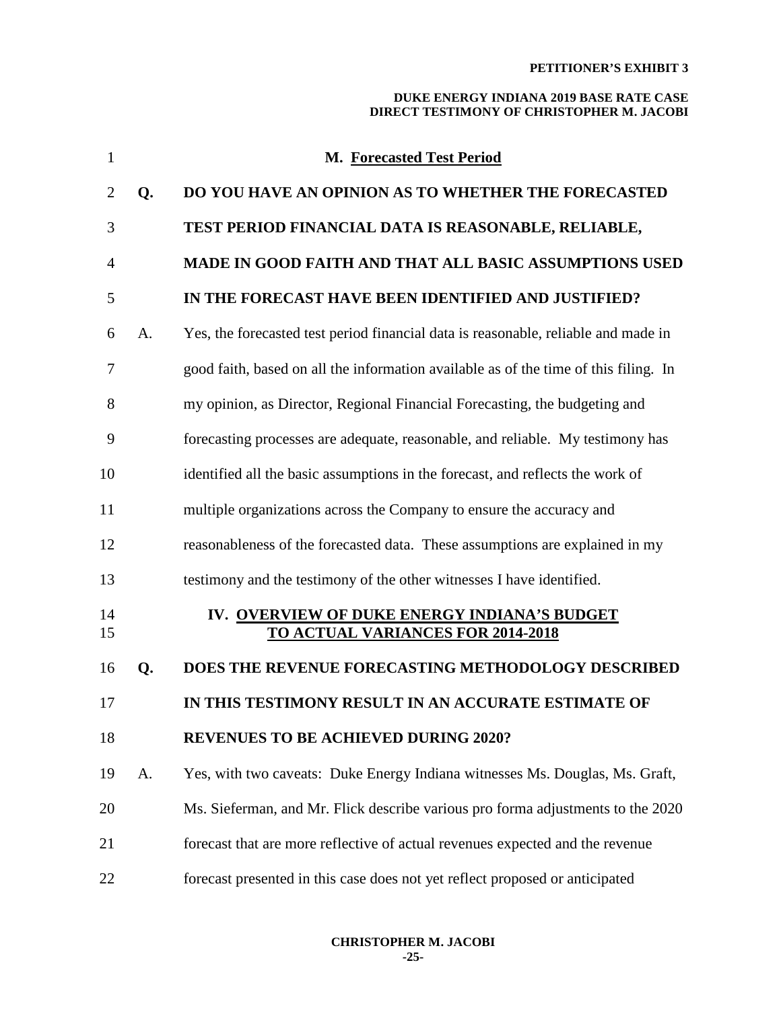| $\mathbf{1}$   |    | <b>M. Forecasted Test Period</b>                                                         |
|----------------|----|------------------------------------------------------------------------------------------|
| $\overline{2}$ | Q. | <b>DO YOU HAVE AN OPINION AS TO WHETHER THE FORECASTED</b>                               |
| 3              |    | TEST PERIOD FINANCIAL DATA IS REASONABLE, RELIABLE,                                      |
| 4              |    | MADE IN GOOD FAITH AND THAT ALL BASIC ASSUMPTIONS USED                                   |
| 5              |    | IN THE FORECAST HAVE BEEN IDENTIFIED AND JUSTIFIED?                                      |
| 6              | A. | Yes, the forecasted test period financial data is reasonable, reliable and made in       |
| 7              |    | good faith, based on all the information available as of the time of this filing. In     |
| 8              |    | my opinion, as Director, Regional Financial Forecasting, the budgeting and               |
| 9              |    | forecasting processes are adequate, reasonable, and reliable. My testimony has           |
| 10             |    | identified all the basic assumptions in the forecast, and reflects the work of           |
| 11             |    | multiple organizations across the Company to ensure the accuracy and                     |
| 12             |    | reasonableness of the forecasted data. These assumptions are explained in my             |
| 13             |    | testimony and the testimony of the other witnesses I have identified.                    |
| 14<br>15       |    | IV. OVERVIEW OF DUKE ENERGY INDIANA'S BUDGET<br><b>TO ACTUAL VARIANCES FOR 2014-2018</b> |
| 16             | Q. | <b>DOES THE REVENUE FORECASTING METHODOLOGY DESCRIBED</b>                                |
| 17             |    | IN THIS TESTIMONY RESULT IN AN ACCURATE ESTIMATE OF                                      |
| 18             |    | <b>REVENUES TO BE ACHIEVED DURING 2020?</b>                                              |
| 19             | A. | Yes, with two caveats: Duke Energy Indiana witnesses Ms. Douglas, Ms. Graft,             |
| 20             |    | Ms. Sieferman, and Mr. Flick describe various pro forma adjustments to the 2020          |
| 21             |    | forecast that are more reflective of actual revenues expected and the revenue            |
| 22             |    | forecast presented in this case does not yet reflect proposed or anticipated             |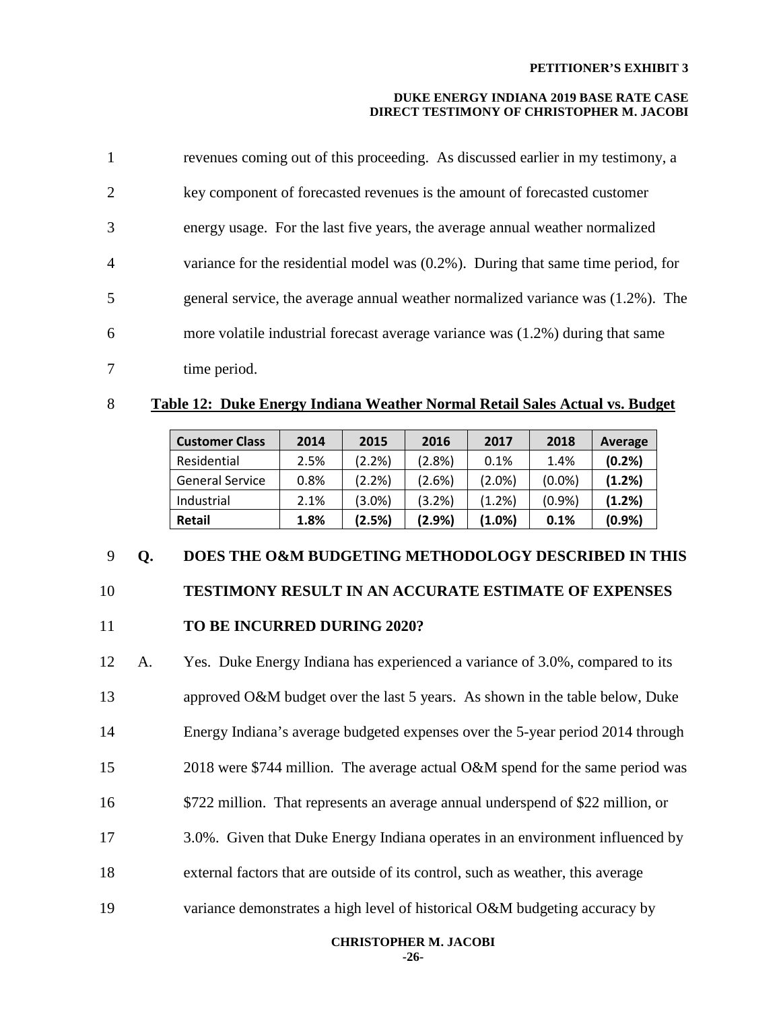### **DUKE ENERGY INDIANA 2019 BASE RATE CASE DIRECT TESTIMONY OF CHRISTOPHER M. JACOBI**

| $\mathbf{1}$   | revenues coming out of this proceeding. As discussed earlier in my testimony, a      |
|----------------|--------------------------------------------------------------------------------------|
| 2              | key component of forecasted revenues is the amount of forecasted customer            |
| 3              | energy usage. For the last five years, the average annual weather normalized         |
| $\overline{4}$ | variance for the residential model was $(0.2\%)$ . During that same time period, for |
| 5              | general service, the average annual weather normalized variance was $(1.2\%)$ . The  |
| 6              | more volatile industrial forecast average variance was (1.2%) during that same       |
| 7              | time period.                                                                         |

### 8 **Table 12: Duke Energy Indiana Weather Normal Retail Sales Actual vs. Budget**

| <b>Customer Class</b>  | 2014 | 2015      | 2016   | 2017      | 2018      | Average |
|------------------------|------|-----------|--------|-----------|-----------|---------|
| Residential            | 2.5% | $(2.2\%)$ | (2.8%) | 0.1%      | 1.4%      | (0.2%   |
| <b>General Service</b> | 0.8% | (2.2%)    | (2.6%) | $(2.0\%)$ | $(0.0\%)$ | (1.2%)  |
| Industrial             | 2.1% | $(3.0\%)$ | (3.2%) | $(1.2\%)$ | (0.9%     | (1.2%)  |
| <b>Retail</b>          | 1.8% | (2.5%)    | (2.9%) | (1.0%)    | 0.1%      | (0.9%   |

### 9 **Q. DOES THE O&M BUDGETING METHODOLOGY DESCRIBED IN THIS**

# 10 **TESTIMONY RESULT IN AN ACCURATE ESTIMATE OF EXPENSES**

### 11 **TO BE INCURRED DURING 2020?**

12 A. Yes. Duke Energy Indiana has experienced a variance of 3.0%, compared to its 13 approved O&M budget over the last 5 years. As shown in the table below, Duke 14 Energy Indiana's average budgeted expenses over the 5-year period 2014 through 15 2018 were \$744 million. The average actual O&M spend for the same period was 16 \$722 million. That represents an average annual underspend of \$22 million, or 17 3.0%. Given that Duke Energy Indiana operates in an environment influenced by 18 external factors that are outside of its control, such as weather, this average 19 variance demonstrates a high level of historical O&M budgeting accuracy by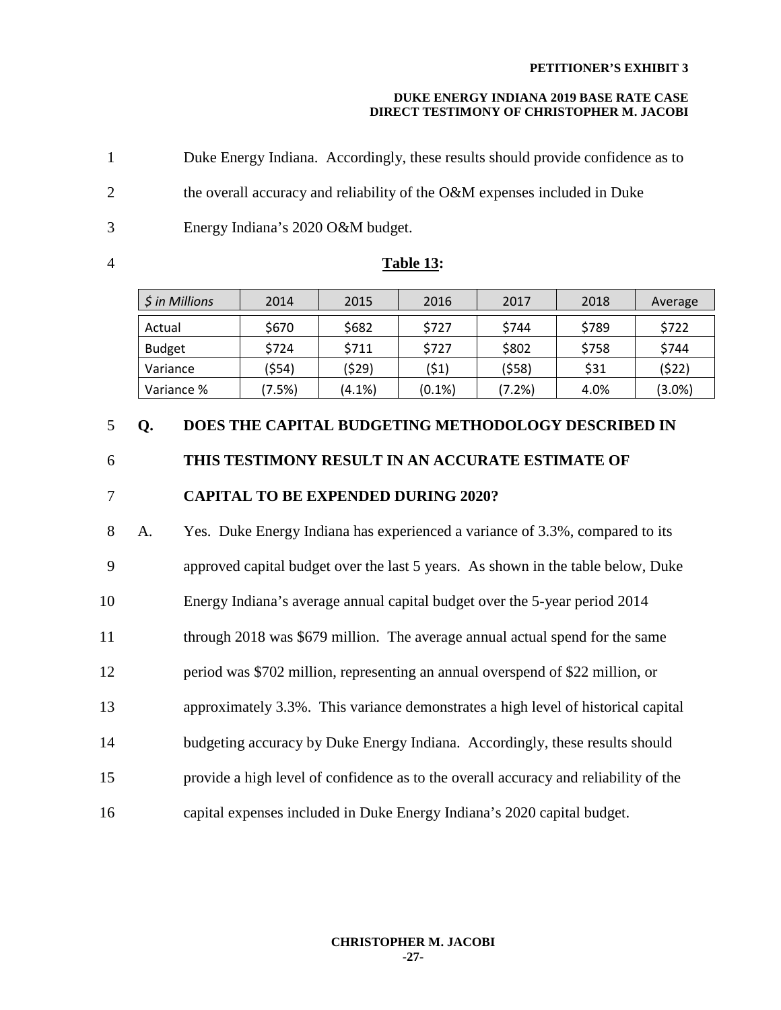### **DUKE ENERGY INDIANA 2019 BASE RATE CASE DIRECT TESTIMONY OF CHRISTOPHER M. JACOBI**

1 Duke Energy Indiana. Accordingly, these results should provide confidence as to 2 the overall accuracy and reliability of the O&M expenses included in Duke 3 Energy Indiana's 2020 O&M budget.

### 4 **Table 13:**

| $$$ in Millions | 2014   | 2015      | 2016      | 2017   | 2018  | Average   |
|-----------------|--------|-----------|-----------|--------|-------|-----------|
| Actual          | \$670  | \$682     | \$727     | \$744  | \$789 | \$722     |
| <b>Budget</b>   | \$724  | \$711     | \$727     | \$802  | \$758 | \$744     |
| Variance        | (\$54) | (\$29)    | (\$1)     | (\$58) | \$31  | (\$22)    |
| Variance %      | (7.5%) | $(4.1\%)$ | $(0.1\%)$ | (7.2%) | 4.0%  | $(3.0\%)$ |

### 5 **Q. DOES THE CAPITAL BUDGETING METHODOLOGY DESCRIBED IN**

### 6 **THIS TESTIMONY RESULT IN AN ACCURATE ESTIMATE OF**

## 7 **CAPITAL TO BE EXPENDED DURING 2020?**

8 A. Yes. Duke Energy Indiana has experienced a variance of 3.3%, compared to its 9 approved capital budget over the last 5 years. As shown in the table below, Duke 10 Energy Indiana's average annual capital budget over the 5-year period 2014 11 through 2018 was \$679 million. The average annual actual spend for the same 12 period was \$702 million, representing an annual overspend of \$22 million, or 13 approximately 3.3%. This variance demonstrates a high level of historical capital 14 budgeting accuracy by Duke Energy Indiana. Accordingly, these results should 15 provide a high level of confidence as to the overall accuracy and reliability of the 16 capital expenses included in Duke Energy Indiana's 2020 capital budget.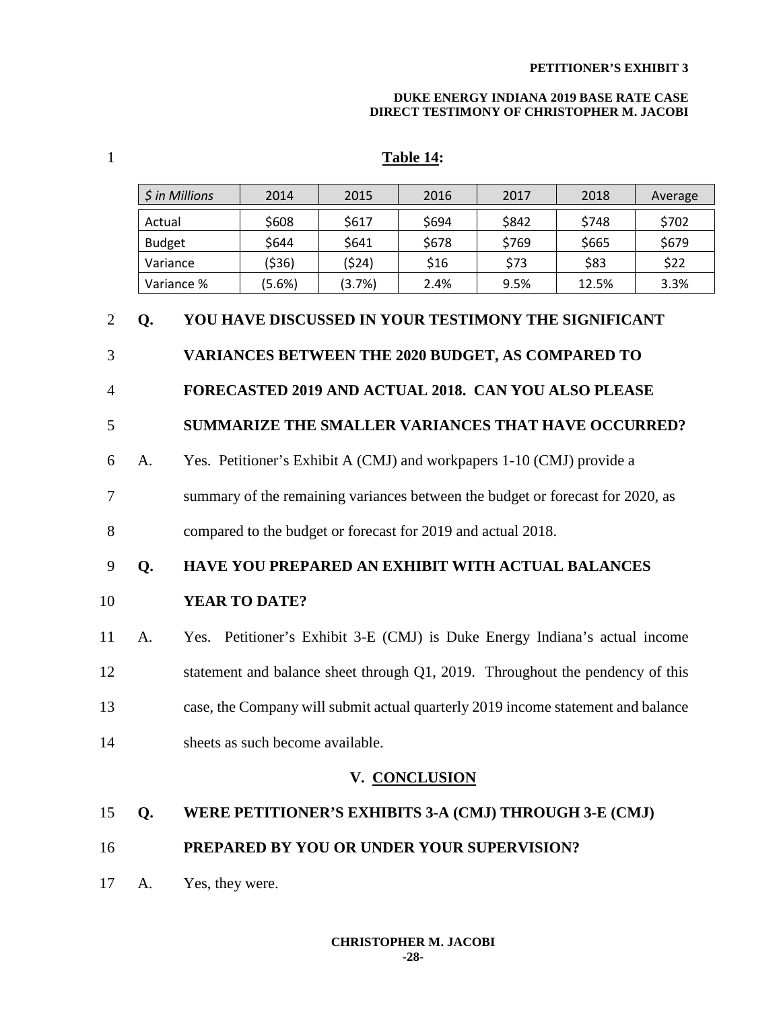### **DUKE ENERGY INDIANA 2019 BASE RATE CASE DIRECT TESTIMONY OF CHRISTOPHER M. JACOBI**

## 1 **Table 14:**

|                |                                                                                  | \$ in Millions                                                             | 2014                                              | 2015  | 2016  | 2017                                                                  | 2018  | Average |  |
|----------------|----------------------------------------------------------------------------------|----------------------------------------------------------------------------|---------------------------------------------------|-------|-------|-----------------------------------------------------------------------|-------|---------|--|
|                | Actual                                                                           |                                                                            | \$608                                             | \$617 | \$694 | \$842                                                                 | \$748 | \$702   |  |
|                | <b>Budget</b>                                                                    |                                                                            | \$644                                             | \$641 | \$678 | \$769                                                                 | \$665 | \$679   |  |
|                | Variance                                                                         |                                                                            | (\$36)                                            | (524) | \$16  | \$73                                                                  | \$83  | \$22    |  |
|                |                                                                                  | Variance %                                                                 | 12.5%<br>(5.6%)<br>(3.7%)<br>2.4%<br>9.5%<br>3.3% |       |       |                                                                       |       |         |  |
| $\overline{2}$ | YOU HAVE DISCUSSED IN YOUR TESTIMONY THE SIGNIFICANT<br>Q.                       |                                                                            |                                                   |       |       |                                                                       |       |         |  |
| 3              | <b>VARIANCES BETWEEN THE 2020 BUDGET, AS COMPARED TO</b>                         |                                                                            |                                                   |       |       |                                                                       |       |         |  |
| $\overline{4}$ |                                                                                  |                                                                            |                                                   |       |       | FORECASTED 2019 AND ACTUAL 2018. CAN YOU ALSO PLEASE                  |       |         |  |
| 5              |                                                                                  |                                                                            |                                                   |       |       | <b>SUMMARIZE THE SMALLER VARIANCES THAT HAVE OCCURRED?</b>            |       |         |  |
| 6              | A.                                                                               |                                                                            |                                                   |       |       | Yes. Petitioner's Exhibit A (CMJ) and workpapers 1-10 (CMJ) provide a |       |         |  |
| $\tau$         | summary of the remaining variances between the budget or forecast for 2020, as   |                                                                            |                                                   |       |       |                                                                       |       |         |  |
| 8              | compared to the budget or forecast for 2019 and actual 2018.                     |                                                                            |                                                   |       |       |                                                                       |       |         |  |
| 9              | HAVE YOU PREPARED AN EXHIBIT WITH ACTUAL BALANCES<br>Q.                          |                                                                            |                                                   |       |       |                                                                       |       |         |  |
| 10             | <b>YEAR TO DATE?</b>                                                             |                                                                            |                                                   |       |       |                                                                       |       |         |  |
| 11             | A.                                                                               | Yes. Petitioner's Exhibit 3-E (CMJ) is Duke Energy Indiana's actual income |                                                   |       |       |                                                                       |       |         |  |
| 12             | statement and balance sheet through Q1, 2019. Throughout the pendency of this    |                                                                            |                                                   |       |       |                                                                       |       |         |  |
| 13             | case, the Company will submit actual quarterly 2019 income statement and balance |                                                                            |                                                   |       |       |                                                                       |       |         |  |
| 14             | sheets as such become available.                                                 |                                                                            |                                                   |       |       |                                                                       |       |         |  |
|                | V. CONCLUSION                                                                    |                                                                            |                                                   |       |       |                                                                       |       |         |  |
| 15             | Q.                                                                               |                                                                            |                                                   |       |       | WERE PETITIONER'S EXHIBITS 3-A (CMJ) THROUGH 3-E (CMJ)                |       |         |  |
| 16             |                                                                                  | PREPARED BY YOU OR UNDER YOUR SUPERVISION?                                 |                                                   |       |       |                                                                       |       |         |  |

17 A. Yes, they were.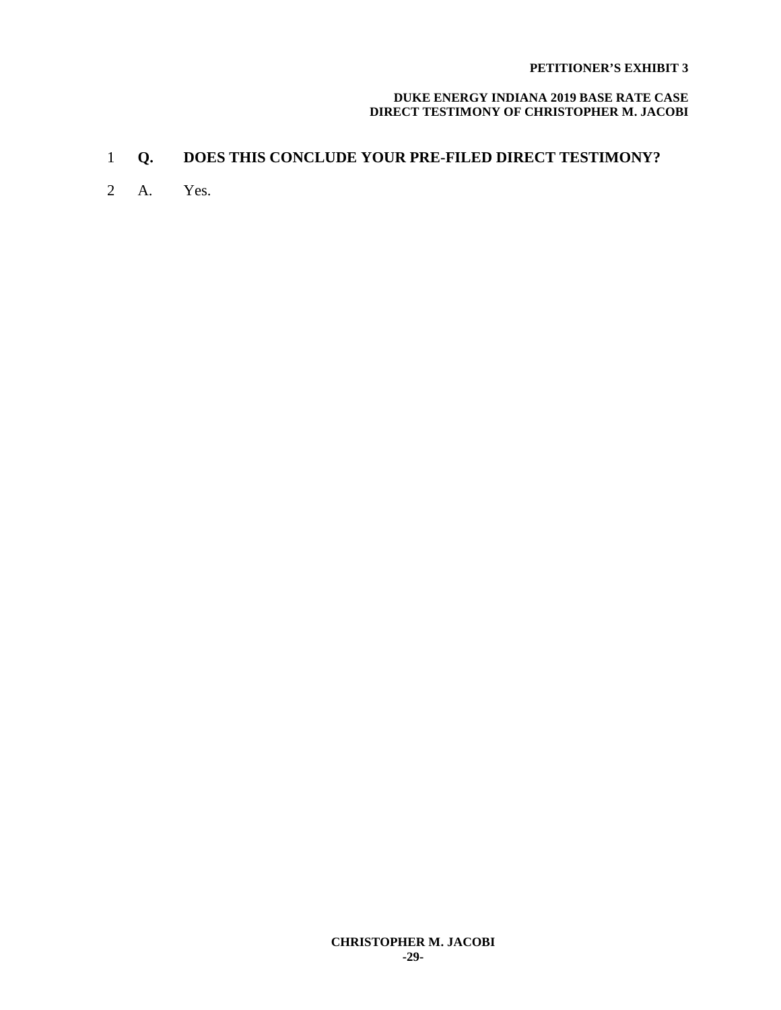### **DUKE ENERGY INDIANA 2019 BASE RATE CASE DIRECT TESTIMONY OF CHRISTOPHER M. JACOBI**

## 1 **Q. DOES THIS CONCLUDE YOUR PRE-FILED DIRECT TESTIMONY?**

2 A. Yes.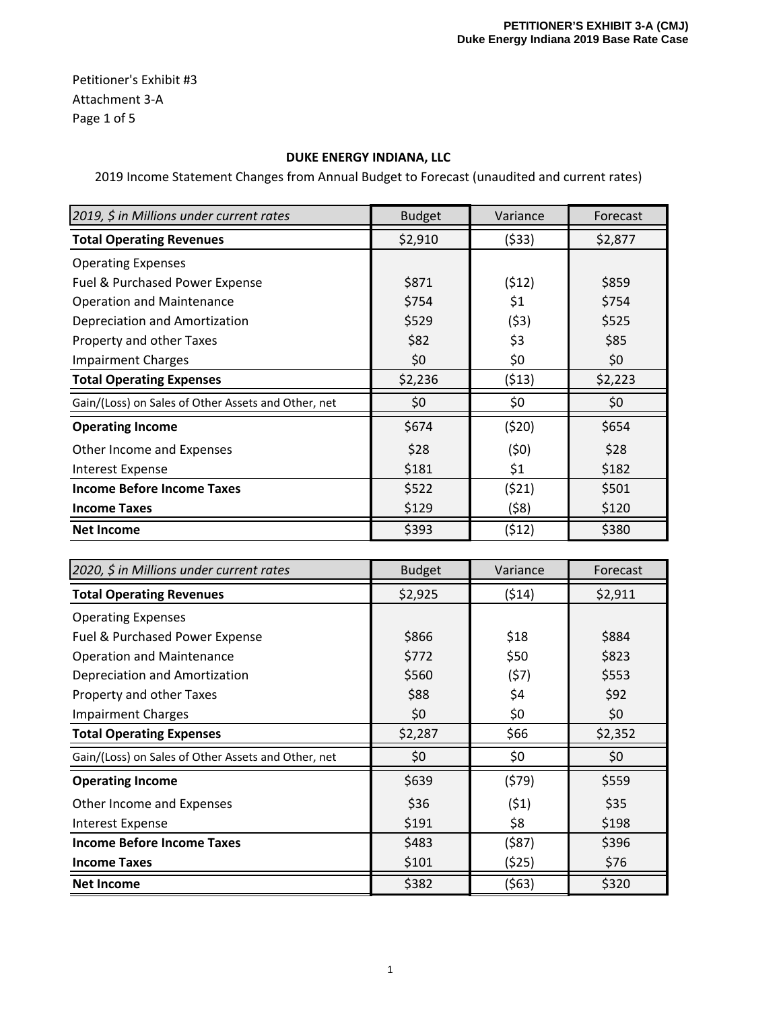Petitioner's Exhibit #3 Attachment 3‐A Page 1 of 5

## **DUKE ENERGY INDIANA, LLC**

2019 Income Statement Changes from Annual Budget to Forecast (unaudited and current rates)

| 2019, \$ in Millions under current rates            | <b>Budget</b> | Variance | Forecast |
|-----------------------------------------------------|---------------|----------|----------|
| <b>Total Operating Revenues</b>                     | \$2,910       | (\$33)   | \$2,877  |
| <b>Operating Expenses</b>                           |               |          |          |
| Fuel & Purchased Power Expense                      | \$871         | (512)    | \$859    |
| <b>Operation and Maintenance</b>                    | \$754         | \$1      | \$754    |
| Depreciation and Amortization                       | \$529         | (53)     | \$525    |
| Property and other Taxes                            | \$82          | \$3      | \$85     |
| <b>Impairment Charges</b>                           | \$0           | \$0      | \$0      |
| <b>Total Operating Expenses</b>                     | \$2,236       | (513)    | \$2,223  |
| Gain/(Loss) on Sales of Other Assets and Other, net | \$0           | \$0      | \$0      |
| <b>Operating Income</b>                             | \$674         | (520)    | \$654    |
| Other Income and Expenses                           | \$28          | (50)     | \$28     |
| <b>Interest Expense</b>                             | \$181         | \$1      | \$182    |
| <b>Income Before Income Taxes</b>                   | \$522         | (521)    | \$501    |
| <b>Income Taxes</b>                                 | \$129         | (58)     | \$120    |
| <b>Net Income</b>                                   | \$393         | (\$12)   | \$380    |

| 2020, \$ in Millions under current rates            | <b>Budget</b> | Variance | Forecast |
|-----------------------------------------------------|---------------|----------|----------|
| <b>Total Operating Revenues</b>                     | \$2,925       | (514)    | \$2,911  |
| <b>Operating Expenses</b>                           |               |          |          |
| Fuel & Purchased Power Expense                      | \$866         | \$18     | \$884    |
| <b>Operation and Maintenance</b>                    | \$772         | \$50     | \$823    |
| Depreciation and Amortization                       | \$560         | (57)     | \$553    |
| Property and other Taxes                            | \$88          | \$4      | \$92     |
| <b>Impairment Charges</b>                           | \$0           | \$0      | \$0      |
| <b>Total Operating Expenses</b>                     | \$2,287       | \$66     | \$2,352  |
| Gain/(Loss) on Sales of Other Assets and Other, net | \$0           | \$0      | \$0      |
| <b>Operating Income</b>                             | \$639         | (579)    | \$559    |
| Other Income and Expenses                           | \$36          | (51)     | \$35     |
| <b>Interest Expense</b>                             | \$191         | \$8      | \$198    |
| <b>Income Before Income Taxes</b>                   | \$483         | (\$87)   | \$396    |
| <b>Income Taxes</b>                                 | \$101         | (525)    | \$76     |
| <b>Net Income</b>                                   | \$382         | (563)    | \$320    |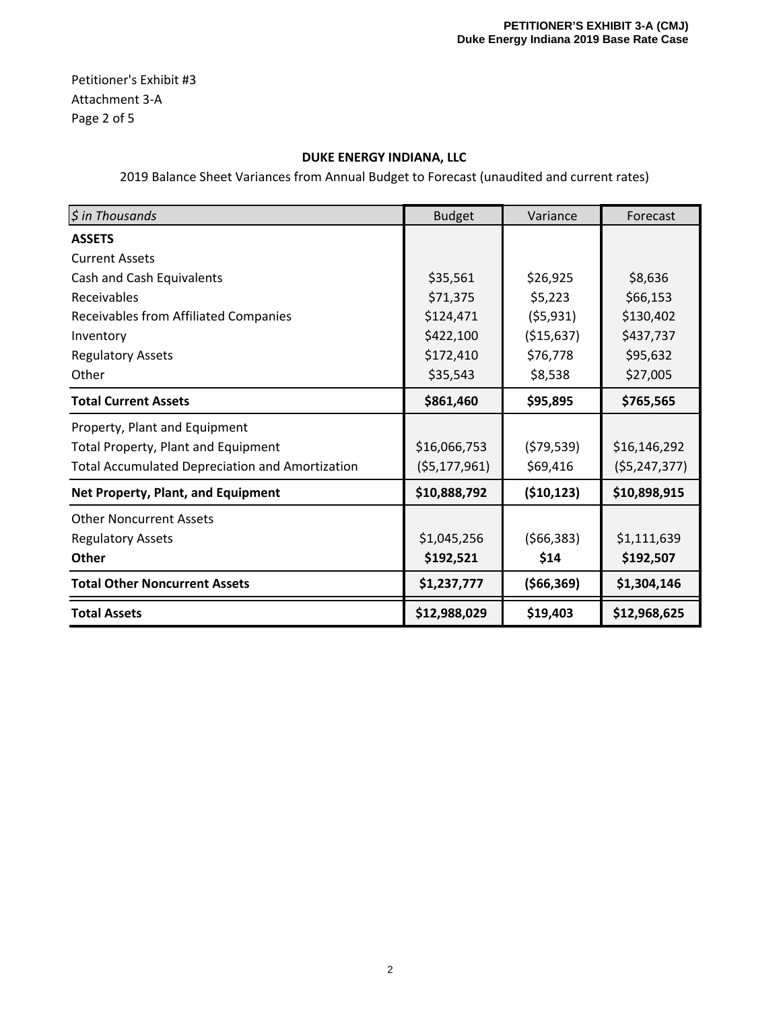Petitioner's Exhibit #3 Attachment 3‐A Page 2 of 5

## **DUKE ENERGY INDIANA, LLC**

| $$$ in Thousands                                       | <b>Budget</b>  | Variance     | Forecast       |
|--------------------------------------------------------|----------------|--------------|----------------|
| <b>ASSETS</b>                                          |                |              |                |
| <b>Current Assets</b>                                  |                |              |                |
| Cash and Cash Equivalents                              | \$35,561       | \$26,925     | \$8,636        |
| Receivables                                            | \$71,375       | \$5,223      | \$66,153       |
| Receivables from Affiliated Companies                  | \$124,471      | (55, 931)    | \$130,402      |
| Inventory                                              | \$422,100      | ( \$15,637)  | \$437,737      |
| <b>Regulatory Assets</b>                               | \$172,410      | \$76,778     | \$95,632       |
| Other                                                  | \$35,543       | \$8,538      | \$27,005       |
| <b>Total Current Assets</b>                            | \$861,460      | \$95,895     | \$765,565      |
| Property, Plant and Equipment                          |                |              |                |
| <b>Total Property, Plant and Equipment</b>             | \$16,066,753   | (579, 539)   | \$16,146,292   |
| <b>Total Accumulated Depreciation and Amortization</b> | (55, 177, 961) | \$69,416     | (55, 247, 377) |
| Net Property, Plant, and Equipment                     | \$10,888,792   | (510, 123)   | \$10,898,915   |
| <b>Other Noncurrent Assets</b>                         |                |              |                |
| <b>Regulatory Assets</b>                               | \$1,045,256    | (566, 383)   | \$1,111,639    |
| Other                                                  | \$192,521      | \$14         | \$192,507      |
| <b>Total Other Noncurrent Assets</b>                   | \$1,237,777    | ( \$66, 369) | \$1,304,146    |
| <b>Total Assets</b>                                    | \$12,988,029   | \$19,403     | \$12,968,625   |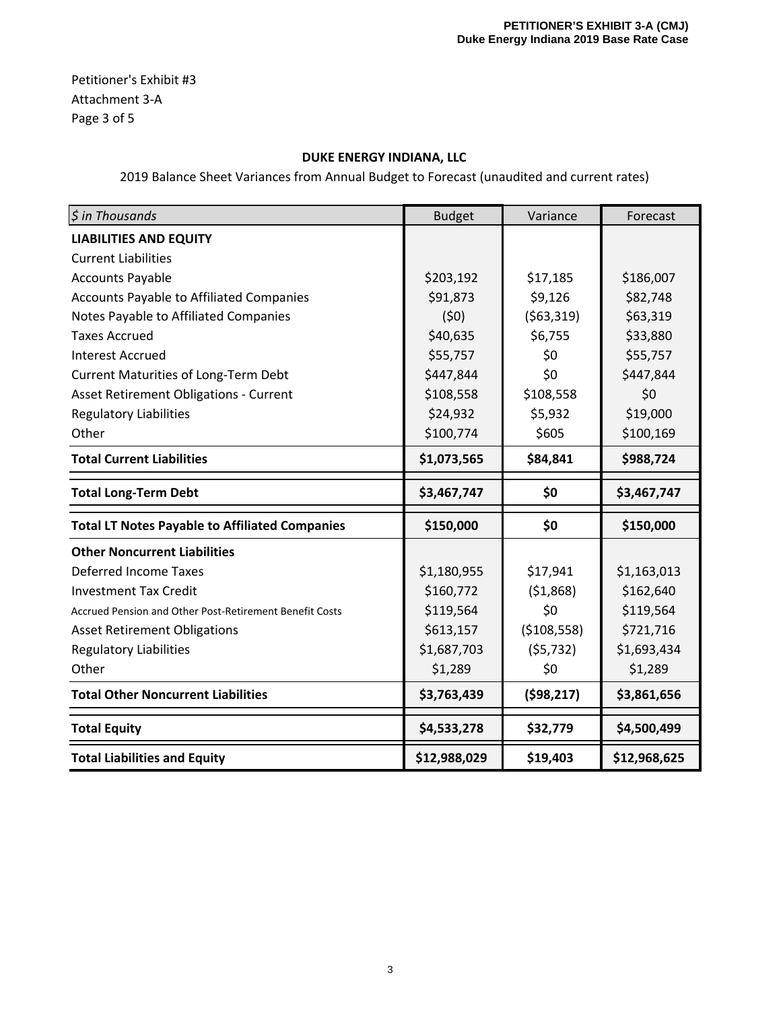Petitioner's Exhibit #3 Attachment 3‐A Page 3 of 5

## **DUKE ENERGY INDIANA, LLC**

| $$$ in Thousands                                        | <b>Budget</b> | Variance      | Forecast     |
|---------------------------------------------------------|---------------|---------------|--------------|
| <b>LIABILITIES AND EQUITY</b>                           |               |               |              |
| <b>Current Liabilities</b>                              |               |               |              |
| <b>Accounts Payable</b>                                 | \$203,192     | \$17,185      | \$186,007    |
| Accounts Payable to Affiliated Companies                | \$91,873      | \$9,126       | \$82,748     |
| Notes Payable to Affiliated Companies                   | (50)          | ( \$63, 319)  | \$63,319     |
| <b>Taxes Accrued</b>                                    | \$40,635      | \$6,755       | \$33,880     |
| <b>Interest Accrued</b>                                 | \$55,757      | \$0           | \$55,757     |
| <b>Current Maturities of Long-Term Debt</b>             | \$447,844     | \$0           | \$447,844    |
| <b>Asset Retirement Obligations - Current</b>           | \$108,558     | \$108,558     | \$0          |
| <b>Regulatory Liabilities</b>                           | \$24,932      | \$5,932       | \$19,000     |
| Other                                                   | \$100,774     | \$605         | \$100,169    |
| <b>Total Current Liabilities</b>                        | \$1,073,565   | \$84,841      | \$988,724    |
| <b>Total Long-Term Debt</b>                             | \$3,467,747   | \$0           | \$3,467,747  |
| <b>Total LT Notes Payable to Affiliated Companies</b>   | \$150,000     | \$0           | \$150,000    |
| <b>Other Noncurrent Liabilities</b>                     |               |               |              |
| <b>Deferred Income Taxes</b>                            | \$1,180,955   | \$17,941      | \$1,163,013  |
| <b>Investment Tax Credit</b>                            | \$160,772     | (51,868)      | \$162,640    |
| Accrued Pension and Other Post-Retirement Benefit Costs | \$119,564     | \$0           | \$119,564    |
| <b>Asset Retirement Obligations</b>                     | \$613,157     | ( \$108, 558) | \$721,716    |
| <b>Regulatory Liabilities</b>                           | \$1,687,703   | (55, 732)     | \$1,693,434  |
| Other                                                   | \$1,289       | \$0           | \$1,289      |
| <b>Total Other Noncurrent Liabilities</b>               | \$3,763,439   | (598, 217)    | \$3,861,656  |
| <b>Total Equity</b>                                     | \$4,533,278   | \$32,779      | \$4,500,499  |
| <b>Total Liabilities and Equity</b>                     | \$12,988,029  | \$19,403      | \$12,968,625 |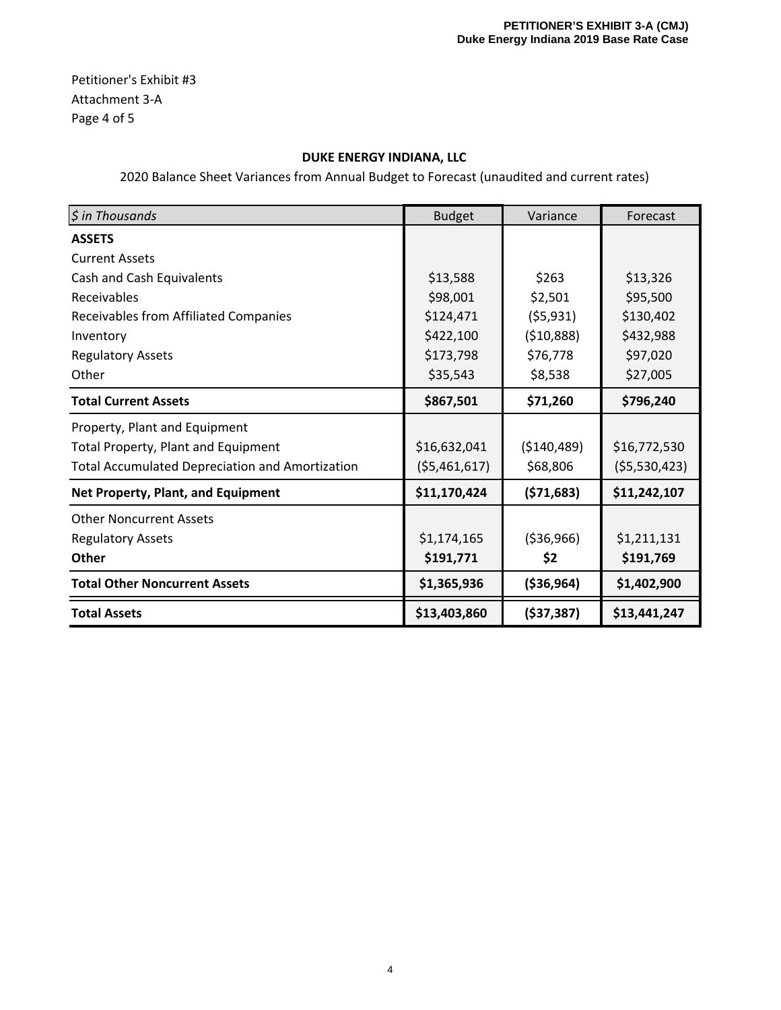Petitioner's Exhibit #3 Attachment 3‐A Page 4 of 5

## **DUKE ENERGY INDIANA, LLC**

| $$$ in Thousands                                       | <b>Budget</b> | Variance     | Forecast     |
|--------------------------------------------------------|---------------|--------------|--------------|
| <b>ASSETS</b>                                          |               |              |              |
| <b>Current Assets</b>                                  |               |              |              |
| Cash and Cash Equivalents                              | \$13,588      | \$263        | \$13,326     |
| Receivables                                            | \$98,001      | \$2,501      | \$95,500     |
| <b>Receivables from Affiliated Companies</b>           | \$124,471     | (55, 931)    | \$130,402    |
| Inventory                                              | \$422,100     | (510,888)    | \$432,988    |
| <b>Regulatory Assets</b>                               | \$173,798     | \$76,778     | \$97,020     |
| Other                                                  | \$35,543      | \$8,538      | \$27,005     |
| <b>Total Current Assets</b>                            | \$867,501     | \$71,260     | \$796,240    |
| Property, Plant and Equipment                          |               |              |              |
| Total Property, Plant and Equipment                    | \$16,632,041  | ( \$140,489) | \$16,772,530 |
| <b>Total Accumulated Depreciation and Amortization</b> | (55,461,617)  | \$68,806     | (55,530,423) |
| Net Property, Plant, and Equipment                     | \$11,170,424  | (571, 683)   | \$11,242,107 |
| <b>Other Noncurrent Assets</b>                         |               |              |              |
| <b>Regulatory Assets</b>                               | \$1,174,165   | ( \$36, 966) | \$1,211,131  |
| Other                                                  | \$191,771     | \$2          | \$191,769    |
| <b>Total Other Noncurrent Assets</b>                   | \$1,365,936   | ( \$36, 964) | \$1,402,900  |
| <b>Total Assets</b>                                    | \$13,403,860  | ( \$37, 387) | \$13,441,247 |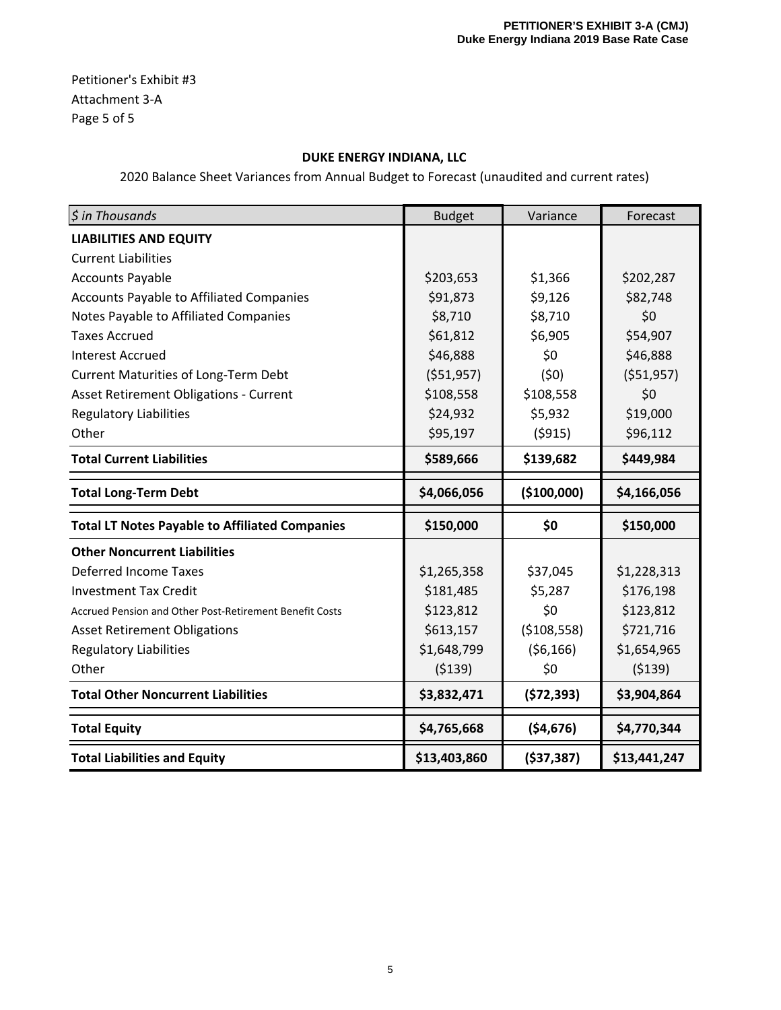Petitioner's Exhibit #3 Attachment 3‐A Page 5 of 5

## **DUKE ENERGY INDIANA, LLC**

| $$$ in Thousands                                        | <b>Budget</b> | Variance      | Forecast     |
|---------------------------------------------------------|---------------|---------------|--------------|
| <b>LIABILITIES AND EQUITY</b>                           |               |               |              |
| <b>Current Liabilities</b>                              |               |               |              |
| <b>Accounts Payable</b>                                 | \$203,653     | \$1,366       | \$202,287    |
| Accounts Payable to Affiliated Companies                | \$91,873      | \$9,126       | \$82,748     |
| Notes Payable to Affiliated Companies                   | \$8,710       | \$8,710       | \$0          |
| <b>Taxes Accrued</b>                                    | \$61,812      | \$6,905       | \$54,907     |
| <b>Interest Accrued</b>                                 | \$46,888      | \$0           | \$46,888     |
| Current Maturities of Long-Term Debt                    | ( \$51, 957)  | (50)          | ( \$51,957)  |
| <b>Asset Retirement Obligations - Current</b>           | \$108,558     | \$108,558     | \$0          |
| <b>Regulatory Liabilities</b>                           | \$24,932      | \$5,932       | \$19,000     |
| Other                                                   | \$95,197      | (5915)        | \$96,112     |
| <b>Total Current Liabilities</b>                        | \$589,666     | \$139,682     | \$449,984    |
| <b>Total Long-Term Debt</b>                             | \$4,066,056   | (\$100,000)   | \$4,166,056  |
| <b>Total LT Notes Payable to Affiliated Companies</b>   | \$150,000     | \$0           | \$150,000    |
| <b>Other Noncurrent Liabilities</b>                     |               |               |              |
| <b>Deferred Income Taxes</b>                            | \$1,265,358   | \$37,045      | \$1,228,313  |
| <b>Investment Tax Credit</b>                            | \$181,485     | \$5,287       | \$176,198    |
| Accrued Pension and Other Post-Retirement Benefit Costs | \$123,812     | \$0           | \$123,812    |
| <b>Asset Retirement Obligations</b>                     | \$613,157     | ( \$108, 558) | \$721,716    |
| <b>Regulatory Liabilities</b>                           | \$1,648,799   | (56, 166)     | \$1,654,965  |
| Other                                                   | (5139)        | \$0           | (5139)       |
| <b>Total Other Noncurrent Liabilities</b>               | \$3,832,471   | (572, 393)    | \$3,904,864  |
| <b>Total Equity</b>                                     | \$4,765,668   | ( \$4,676)    | \$4,770,344  |
| <b>Total Liabilities and Equity</b>                     | \$13,403,860  | ( \$37, 387)  | \$13,441,247 |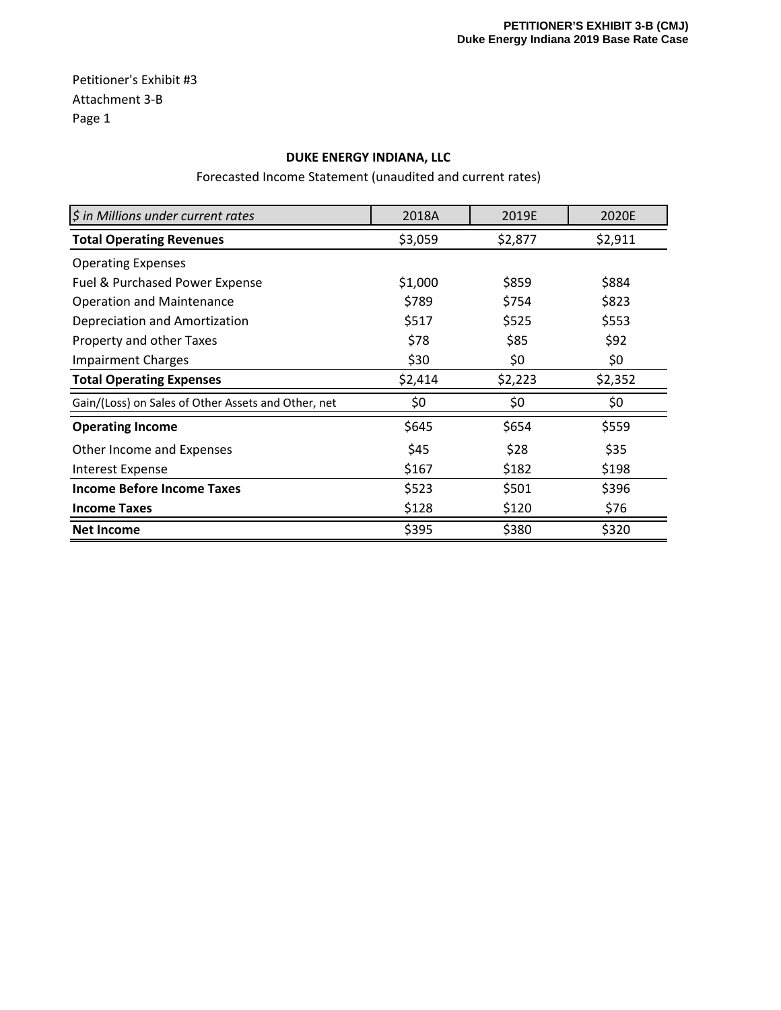Petitioner's Exhibit #3 Attachment 3‐B Page 1

### **DUKE ENERGY INDIANA, LLC**

Forecasted Income Statement (unaudited and current rates)

| \$ in Millions under current rates                  | 2018A   | 2019E   | 2020E   |
|-----------------------------------------------------|---------|---------|---------|
| <b>Total Operating Revenues</b>                     | \$3,059 | \$2,877 | \$2,911 |
| <b>Operating Expenses</b>                           |         |         |         |
| Fuel & Purchased Power Expense                      | \$1,000 | \$859   | \$884   |
| <b>Operation and Maintenance</b>                    | \$789   | \$754   | \$823   |
| Depreciation and Amortization                       | \$517   | \$525   | \$553   |
| Property and other Taxes                            | \$78    | \$85    | \$92    |
| <b>Impairment Charges</b>                           | \$30    | \$0     | \$0     |
| <b>Total Operating Expenses</b>                     | \$2,414 | \$2,223 | \$2,352 |
| Gain/(Loss) on Sales of Other Assets and Other, net | \$0     | \$0     | \$0     |
| <b>Operating Income</b>                             | \$645   | \$654   | \$559   |
| Other Income and Expenses                           | \$45    | \$28    | \$35    |
| <b>Interest Expense</b>                             | \$167   | \$182   | \$198   |
| Income Before Income Taxes                          | \$523   | \$501   | \$396   |
| <b>Income Taxes</b>                                 | \$128   | \$120   | \$76    |
| <b>Net Income</b>                                   | \$395   | \$380   | \$320   |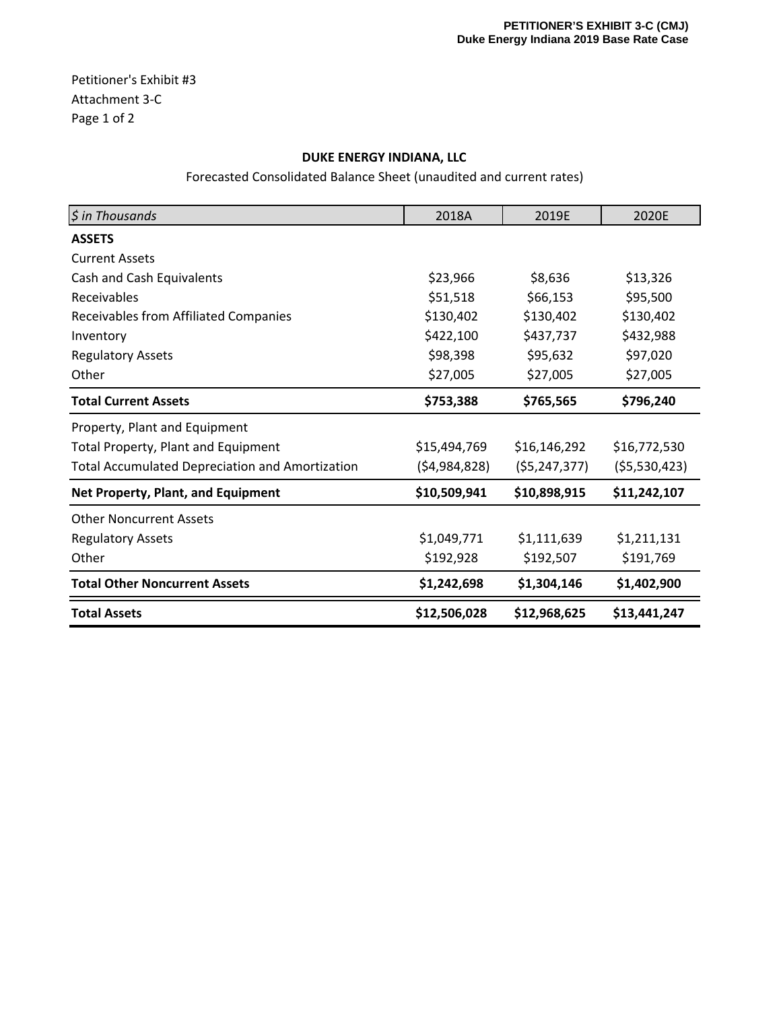Petitioner's Exhibit #3 Attachment 3‐C Page 1 of 2

## **DUKE ENERGY INDIANA, LLC**

Forecasted Consolidated Balance Sheet (unaudited and current rates)

| \$ in Thousands                                        | 2018A          | 2019E          | 2020E        |
|--------------------------------------------------------|----------------|----------------|--------------|
| <b>ASSETS</b>                                          |                |                |              |
| <b>Current Assets</b>                                  |                |                |              |
| Cash and Cash Equivalents                              | \$23,966       | \$8,636        | \$13,326     |
| Receivables                                            | \$51,518       | \$66,153       | \$95,500     |
| <b>Receivables from Affiliated Companies</b>           | \$130,402      | \$130,402      | \$130,402    |
| Inventory                                              | \$422,100      | \$437,737      | \$432,988    |
| <b>Regulatory Assets</b>                               | \$98,398       | \$95,632       | \$97,020     |
| Other                                                  | \$27,005       | \$27,005       | \$27,005     |
| <b>Total Current Assets</b>                            | \$753,388      | \$765,565      | \$796,240    |
| Property, Plant and Equipment                          |                |                |              |
| <b>Total Property, Plant and Equipment</b>             | \$15,494,769   | \$16,146,292   | \$16,772,530 |
| <b>Total Accumulated Depreciation and Amortization</b> | (54, 984, 828) | (55, 247, 377) | (55,530,423) |
| Net Property, Plant, and Equipment                     | \$10,509,941   | \$10,898,915   | \$11,242,107 |
| <b>Other Noncurrent Assets</b>                         |                |                |              |
| <b>Regulatory Assets</b>                               | \$1,049,771    | \$1,111,639    | \$1,211,131  |
| Other                                                  | \$192,928      | \$192,507      | \$191,769    |
| <b>Total Other Noncurrent Assets</b>                   | \$1,242,698    | \$1,304,146    | \$1,402,900  |
| <b>Total Assets</b>                                    | \$12,506,028   | \$12,968,625   | \$13,441,247 |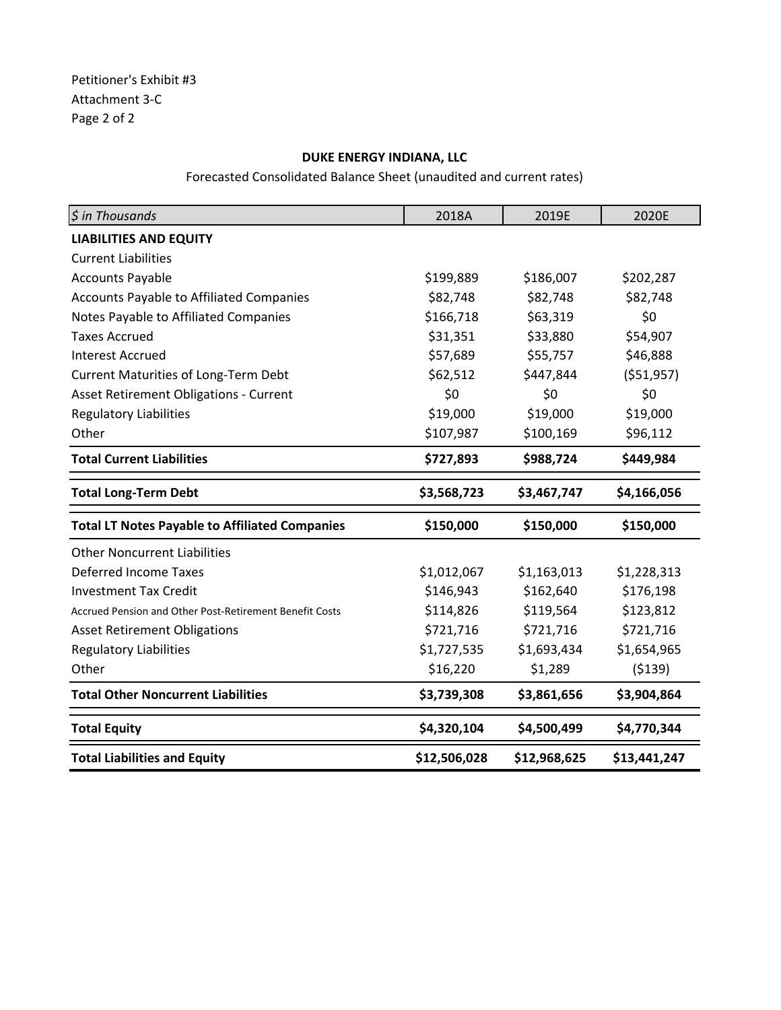## **DUKE ENERGY INDIANA, LLC**

Forecasted Consolidated Balance Sheet (unaudited and current rates)

| \$ in Thousands                                         | 2018A        | 2019E        | 2020E        |
|---------------------------------------------------------|--------------|--------------|--------------|
| <b>LIABILITIES AND EQUITY</b>                           |              |              |              |
| <b>Current Liabilities</b>                              |              |              |              |
| <b>Accounts Payable</b>                                 | \$199,889    | \$186,007    | \$202,287    |
| Accounts Payable to Affiliated Companies                | \$82,748     | \$82,748     | \$82,748     |
| Notes Payable to Affiliated Companies                   | \$166,718    | \$63,319     | \$0          |
| <b>Taxes Accrued</b>                                    | \$31,351     | \$33,880     | \$54,907     |
| <b>Interest Accrued</b>                                 | \$57,689     | \$55,757     | \$46,888     |
| <b>Current Maturities of Long-Term Debt</b>             | \$62,512     | \$447,844    | ( \$51, 957) |
| <b>Asset Retirement Obligations - Current</b>           | \$0          | \$0          | \$0          |
| <b>Regulatory Liabilities</b>                           | \$19,000     | \$19,000     | \$19,000     |
| Other                                                   | \$107,987    | \$100,169    | \$96,112     |
| <b>Total Current Liabilities</b>                        | \$727,893    | \$988,724    | \$449,984    |
| <b>Total Long-Term Debt</b>                             | \$3,568,723  | \$3,467,747  | \$4,166,056  |
| <b>Total LT Notes Payable to Affiliated Companies</b>   | \$150,000    | \$150,000    | \$150,000    |
| <b>Other Noncurrent Liabilities</b>                     |              |              |              |
| <b>Deferred Income Taxes</b>                            | \$1,012,067  | \$1,163,013  | \$1,228,313  |
| <b>Investment Tax Credit</b>                            | \$146,943    | \$162,640    | \$176,198    |
| Accrued Pension and Other Post-Retirement Benefit Costs | \$114,826    | \$119,564    | \$123,812    |
| <b>Asset Retirement Obligations</b>                     | \$721,716    | \$721,716    | \$721,716    |
| <b>Regulatory Liabilities</b>                           | \$1,727,535  | \$1,693,434  | \$1,654,965  |
| Other                                                   | \$16,220     | \$1,289      | (5139)       |
| <b>Total Other Noncurrent Liabilities</b>               | \$3,739,308  | \$3,861,656  | \$3,904,864  |
| <b>Total Equity</b>                                     | \$4,320,104  | \$4,500,499  | \$4,770,344  |
| <b>Total Liabilities and Equity</b>                     | \$12,506,028 | \$12,968,625 | \$13,441,247 |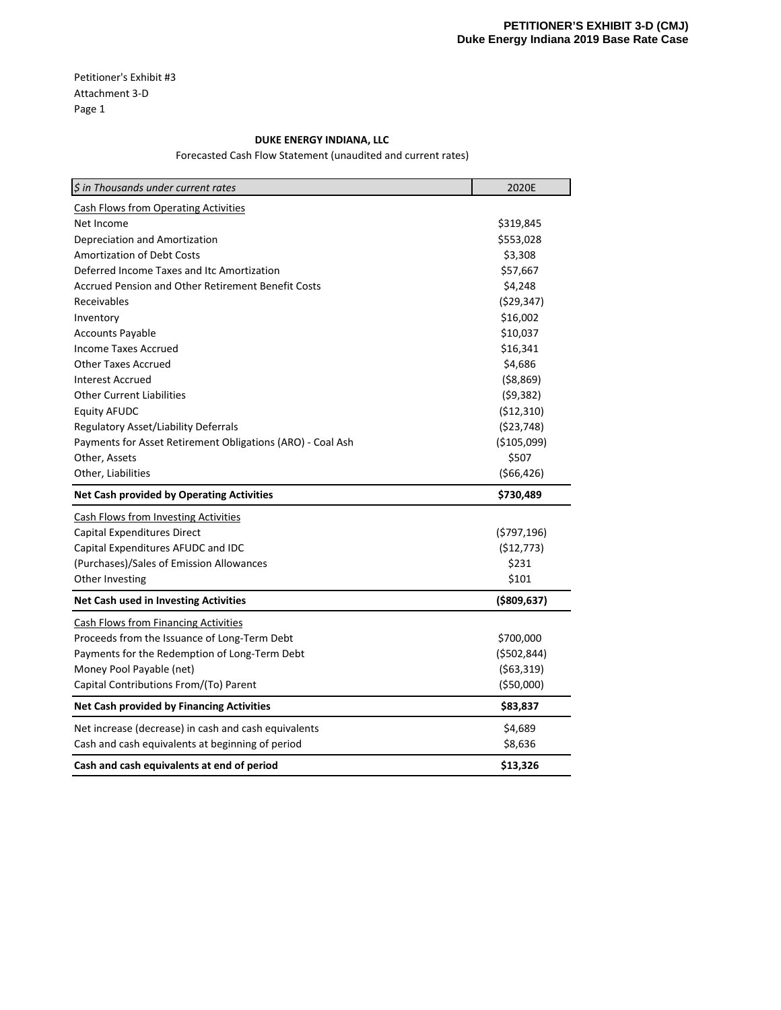Petitioner's Exhibit #3 Attachment 3‐D Page 1

### **DUKE ENERGY INDIANA, LLC**

Forecasted Cash Flow Statement (unaudited and current rates)

| \$ in Thousands under current rates                        | 2020E         |
|------------------------------------------------------------|---------------|
| <b>Cash Flows from Operating Activities</b>                |               |
| Net Income                                                 | \$319,845     |
| Depreciation and Amortization                              | \$553,028     |
| <b>Amortization of Debt Costs</b>                          | \$3,308       |
| Deferred Income Taxes and Itc Amortization                 | \$57,667      |
| <b>Accrued Pension and Other Retirement Benefit Costs</b>  | \$4,248       |
| Receivables                                                | (529, 347)    |
| Inventory                                                  | \$16,002      |
| <b>Accounts Payable</b>                                    | \$10,037      |
| <b>Income Taxes Accrued</b>                                | \$16,341      |
| <b>Other Taxes Accrued</b>                                 | \$4,686       |
| Interest Accrued                                           | ( \$8,869)    |
| <b>Other Current Liabilities</b>                           | (59, 382)     |
| <b>Equity AFUDC</b>                                        | (\$12,310)    |
| Regulatory Asset/Liability Deferrals                       | ( \$23,748)   |
| Payments for Asset Retirement Obligations (ARO) - Coal Ash | ( \$105,099)  |
| Other, Assets                                              | \$507         |
| Other, Liabilities                                         | ( \$66, 426)  |
| <b>Net Cash provided by Operating Activities</b>           | \$730,489     |
| <b>Cash Flows from Investing Activities</b>                |               |
| Capital Expenditures Direct                                | (\$797,196)   |
| Capital Expenditures AFUDC and IDC                         | (\$12,773)    |
| (Purchases)/Sales of Emission Allowances                   | \$231         |
| Other Investing                                            | \$101         |
| Net Cash used in Investing Activities                      | ( \$809, 637) |
| <b>Cash Flows from Financing Activities</b>                |               |
| Proceeds from the Issuance of Long-Term Debt               | \$700,000     |
| Payments for the Redemption of Long-Term Debt              | ( \$502, 844) |
| Money Pool Payable (net)                                   | (563,319)     |
| Capital Contributions From/(To) Parent                     | ( \$50,000)   |
| <b>Net Cash provided by Financing Activities</b>           | \$83,837      |
| Net increase (decrease) in cash and cash equivalents       | \$4,689       |
| Cash and cash equivalents at beginning of period           | \$8,636       |
| Cash and cash equivalents at end of period                 | \$13,326      |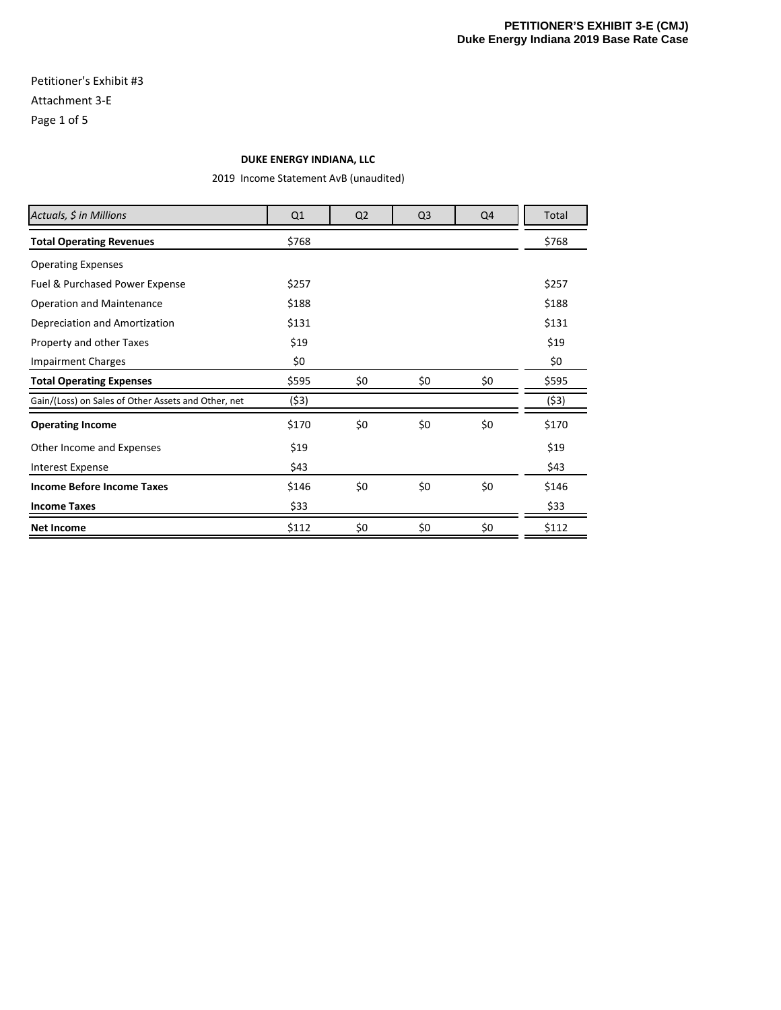## Petitioner's Exhibit #3 Attachment 3‐E Page 1 of 5

#### **DUKE ENERGY INDIANA, LLC**

2019 Income Statement AvB (unaudited)

| Actuals, \$ in Millions                             | Q1    | Q <sub>2</sub> | Q <sub>3</sub> | Q4  | Total |
|-----------------------------------------------------|-------|----------------|----------------|-----|-------|
| <b>Total Operating Revenues</b>                     | \$768 |                |                |     | \$768 |
| <b>Operating Expenses</b>                           |       |                |                |     |       |
| Fuel & Purchased Power Expense                      | \$257 |                |                |     | \$257 |
| <b>Operation and Maintenance</b>                    | \$188 |                |                |     | \$188 |
| Depreciation and Amortization                       | \$131 |                |                |     | \$131 |
| Property and other Taxes                            | \$19  |                |                |     | \$19  |
| <b>Impairment Charges</b>                           | \$0   |                |                |     | \$0   |
| <b>Total Operating Expenses</b>                     | \$595 | \$0            | \$0            | \$0 | \$595 |
| Gain/(Loss) on Sales of Other Assets and Other, net | (\$3) |                |                |     | (53)  |
| <b>Operating Income</b>                             | \$170 | \$0            | \$0            | \$0 | \$170 |
| Other Income and Expenses                           | \$19  |                |                |     | \$19  |
| <b>Interest Expense</b>                             | \$43  |                |                |     | \$43  |
| <b>Income Before Income Taxes</b>                   | \$146 | \$0            | \$0            | \$0 | \$146 |
| <b>Income Taxes</b>                                 | \$33  |                |                |     | \$33  |
| <b>Net Income</b>                                   | \$112 | \$0            | \$0            | \$0 | \$112 |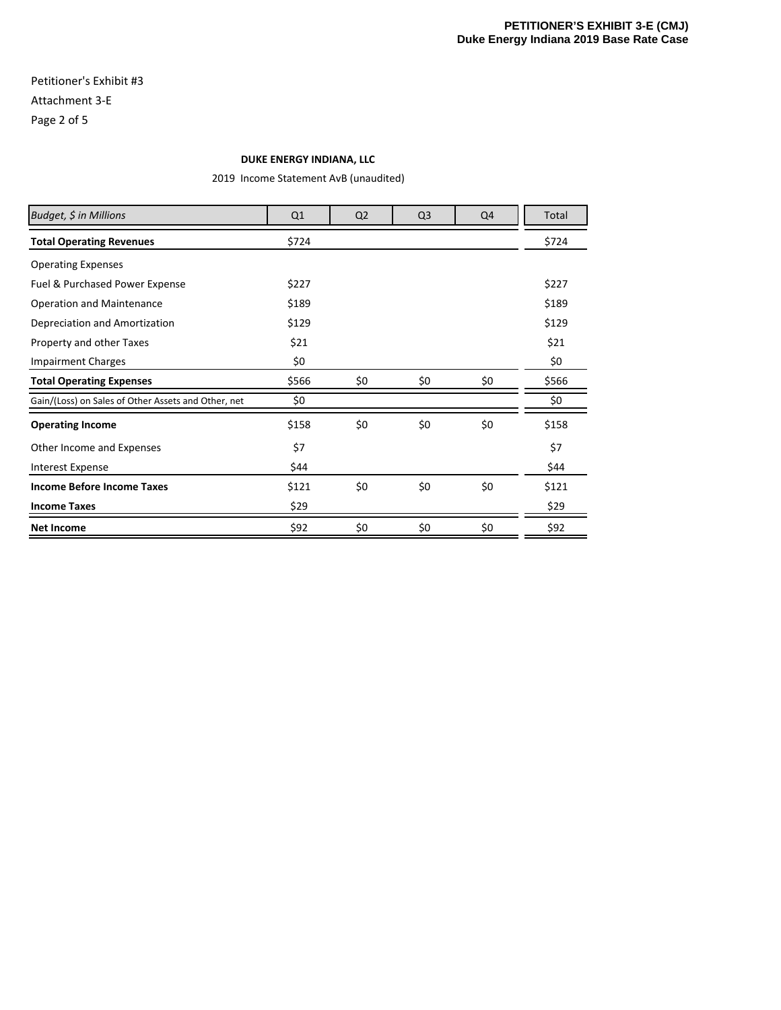## Petitioner's Exhibit #3 Attachment 3‐E Page 2 of 5

#### **DUKE ENERGY INDIANA, LLC**

2019 Income Statement AvB (unaudited)

| Budget, \$ in Millions                              | Q1    | Q <sub>2</sub> | Q <sub>3</sub> | Q4  | Total |
|-----------------------------------------------------|-------|----------------|----------------|-----|-------|
| <b>Total Operating Revenues</b>                     | \$724 |                |                |     | \$724 |
| <b>Operating Expenses</b>                           |       |                |                |     |       |
| Fuel & Purchased Power Expense                      | \$227 |                |                |     | \$227 |
| <b>Operation and Maintenance</b>                    | \$189 |                |                |     | \$189 |
| Depreciation and Amortization                       | \$129 |                |                |     | \$129 |
| Property and other Taxes                            | \$21  |                |                |     | \$21  |
| <b>Impairment Charges</b>                           | \$0   |                |                |     | \$0   |
| <b>Total Operating Expenses</b>                     | \$566 | \$0            | \$0            | \$0 | \$566 |
| Gain/(Loss) on Sales of Other Assets and Other, net | \$0   |                |                |     | \$0   |
| <b>Operating Income</b>                             | \$158 | \$0            | \$0            | \$0 | \$158 |
| Other Income and Expenses                           | \$7   |                |                |     | \$7   |
| <b>Interest Expense</b>                             | \$44  |                |                |     | \$44  |
| <b>Income Before Income Taxes</b>                   | \$121 | \$0            | \$0            | \$0 | \$121 |
| <b>Income Taxes</b>                                 | \$29  |                |                |     | \$29  |
| <b>Net Income</b>                                   | \$92  | \$0            | \$0            | \$0 | \$92  |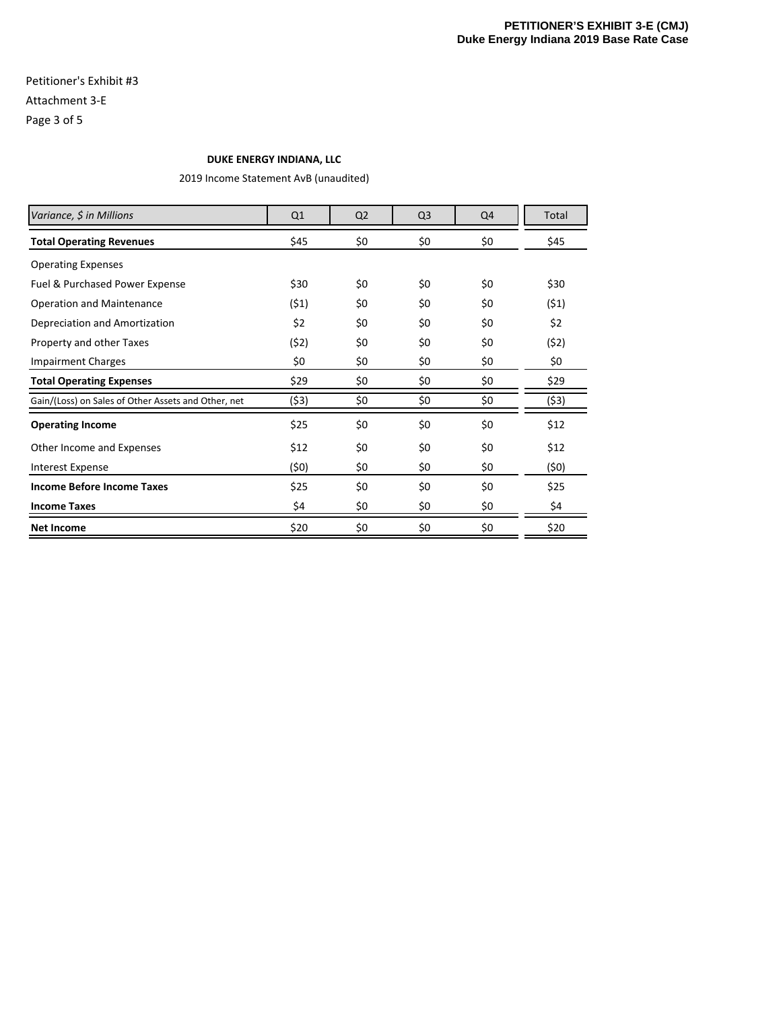## Petitioner's Exhibit #3 Attachment 3‐E Page 3 of 5

#### **DUKE ENERGY INDIANA, LLC**

2019 Income Statement AvB (unaudited)

| Variance, \$ in Millions                            | Q1    | Q <sub>2</sub> | Q <sub>3</sub> | Q4  | Total |
|-----------------------------------------------------|-------|----------------|----------------|-----|-------|
| <b>Total Operating Revenues</b>                     | \$45  | \$0            | \$0            | \$0 | \$45  |
| <b>Operating Expenses</b>                           |       |                |                |     |       |
| Fuel & Purchased Power Expense                      | \$30  | \$0            | \$0            | \$0 | \$30  |
| <b>Operation and Maintenance</b>                    | (51)  | \$0            | \$0            | \$0 | (51)  |
| Depreciation and Amortization                       | \$2   | \$0            | \$0            | \$0 | \$2   |
| Property and other Taxes                            | (52)  | \$0            | \$0            | \$0 | (52)  |
| <b>Impairment Charges</b>                           | \$0   | \$0            | \$0            | \$0 | \$0   |
| <b>Total Operating Expenses</b>                     | \$29  | \$0            | \$0            | \$0 | \$29  |
| Gain/(Loss) on Sales of Other Assets and Other, net | (\$3) | \$0            | \$0            | \$0 | (53)  |
| <b>Operating Income</b>                             | \$25  | \$0            | \$0            | \$0 | \$12  |
| Other Income and Expenses                           | \$12  | \$0            | \$0            | \$0 | \$12  |
| <b>Interest Expense</b>                             | (50)  | \$0            | \$0            | \$0 | (50)  |
| <b>Income Before Income Taxes</b>                   | \$25  | \$0            | \$0            | \$0 | \$25  |
| <b>Income Taxes</b>                                 | \$4   | \$0            | \$0            | \$0 | \$4   |
| <b>Net Income</b>                                   | \$20  | \$0            | \$0            | \$0 | \$20  |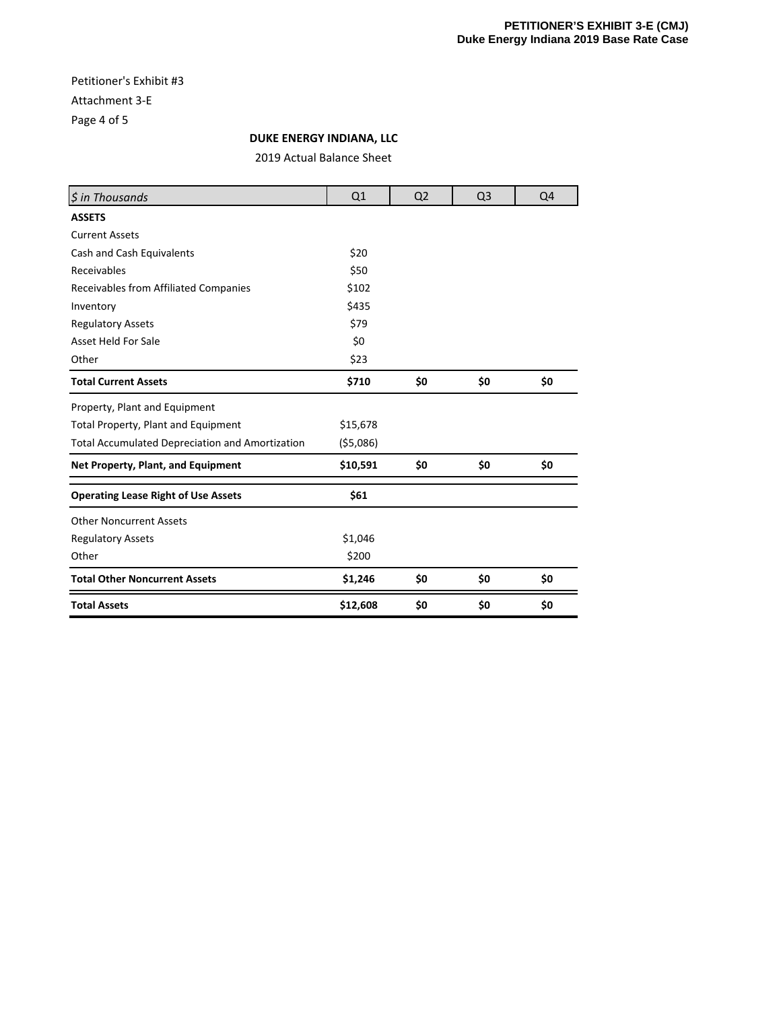## Petitioner's Exhibit #3 Attachment 3‐E Page 4 of 5

## **DUKE ENERGY INDIANA, LLC**

2019 Actual Balance Sheet

| \$ in Thousands                                        | Q1         | Q <sub>2</sub> | Q <sub>3</sub> | Q4  |
|--------------------------------------------------------|------------|----------------|----------------|-----|
| <b>ASSETS</b>                                          |            |                |                |     |
| <b>Current Assets</b>                                  |            |                |                |     |
| Cash and Cash Equivalents                              | \$20       |                |                |     |
| Receivables                                            | \$50       |                |                |     |
| Receivables from Affiliated Companies                  | \$102      |                |                |     |
| Inventory                                              | \$435      |                |                |     |
| <b>Regulatory Assets</b>                               | \$79       |                |                |     |
| <b>Asset Held For Sale</b>                             | \$0        |                |                |     |
| Other                                                  | \$23       |                |                |     |
| <b>Total Current Assets</b>                            | \$710      | \$0            | \$0            | \$0 |
| Property, Plant and Equipment                          |            |                |                |     |
| Total Property, Plant and Equipment                    | \$15,678   |                |                |     |
| <b>Total Accumulated Depreciation and Amortization</b> | ( \$5,086) |                |                |     |
| Net Property, Plant, and Equipment                     | \$10,591   | \$0            | \$0            | \$0 |
| <b>Operating Lease Right of Use Assets</b>             | \$61       |                |                |     |
| <b>Other Noncurrent Assets</b>                         |            |                |                |     |
| <b>Regulatory Assets</b>                               | \$1,046    |                |                |     |
| Other                                                  | \$200      |                |                |     |
| <b>Total Other Noncurrent Assets</b>                   | \$1,246    | \$0            | \$0            | \$0 |
| <b>Total Assets</b>                                    | \$12,608   | \$0            | \$0            | \$0 |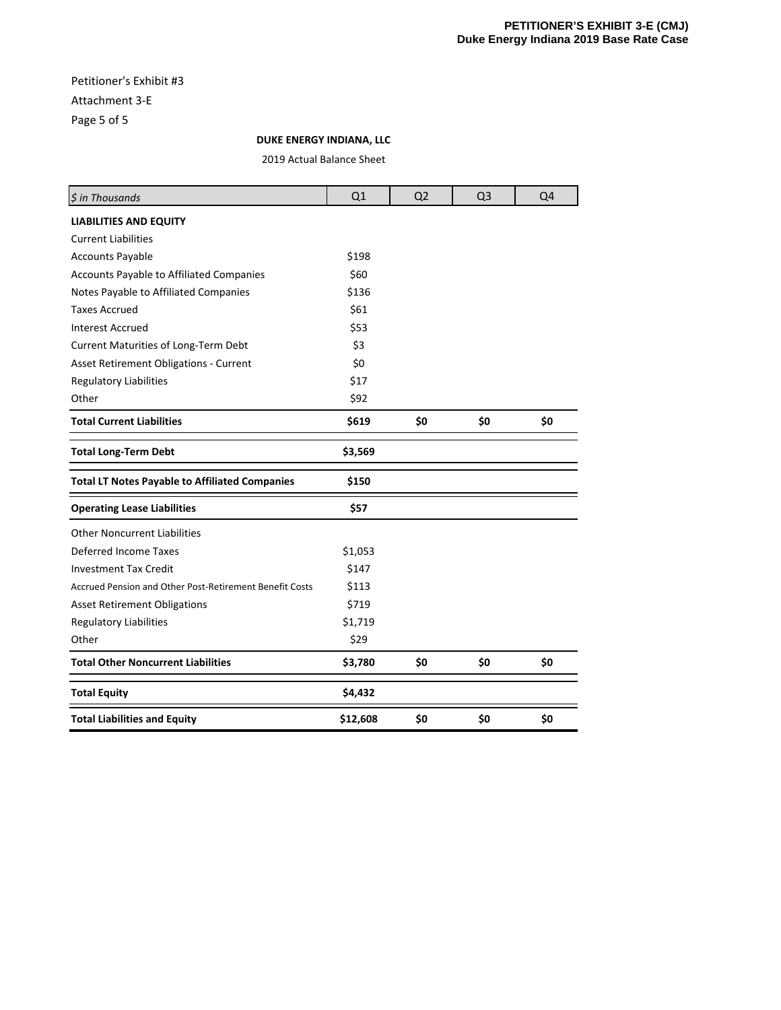## Petitioner's Exhibit #3 Attachment 3‐E Page 5 of 5

**DUKE ENERGY INDIANA, LLC**

2019 Actual Balance Sheet

| \$ in Thousands                                         | Q1       | Q <sub>2</sub> | Q <sub>3</sub> | Q4  |
|---------------------------------------------------------|----------|----------------|----------------|-----|
| <b>LIABILITIES AND EQUITY</b>                           |          |                |                |     |
| <b>Current Liabilities</b>                              |          |                |                |     |
| <b>Accounts Payable</b>                                 | \$198    |                |                |     |
| Accounts Payable to Affiliated Companies                | \$60     |                |                |     |
| Notes Payable to Affiliated Companies                   | \$136    |                |                |     |
| <b>Taxes Accrued</b>                                    | \$61     |                |                |     |
| <b>Interest Accrued</b>                                 | \$53     |                |                |     |
| Current Maturities of Long-Term Debt                    | \$3      |                |                |     |
| Asset Retirement Obligations - Current                  | \$0      |                |                |     |
| <b>Regulatory Liabilities</b>                           | \$17     |                |                |     |
| Other                                                   | \$92     |                |                |     |
| <b>Total Current Liabilities</b>                        | \$619    | \$0            | \$0            | \$0 |
| <b>Total Long-Term Debt</b>                             | \$3,569  |                |                |     |
| <b>Total LT Notes Payable to Affiliated Companies</b>   | \$150    |                |                |     |
| <b>Operating Lease Liabilities</b>                      | \$57     |                |                |     |
| <b>Other Noncurrent Liabilities</b>                     |          |                |                |     |
| <b>Deferred Income Taxes</b>                            | \$1,053  |                |                |     |
| <b>Investment Tax Credit</b>                            | \$147    |                |                |     |
| Accrued Pension and Other Post-Retirement Benefit Costs | \$113    |                |                |     |
| <b>Asset Retirement Obligations</b>                     | \$719    |                |                |     |
| Regulatory Liabilities                                  | \$1,719  |                |                |     |
| Other                                                   | \$29     |                |                |     |
| <b>Total Other Noncurrent Liabilities</b>               | \$3,780  | \$0            | \$0            | \$0 |
| <b>Total Equity</b>                                     | \$4,432  |                |                |     |
| <b>Total Liabilities and Equity</b>                     | \$12,608 | \$0            | \$0            | \$0 |